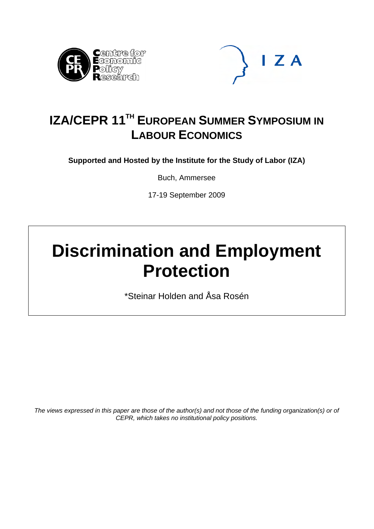



# **IZA/CEPR 11<sup>TH</sup> EUROPEAN SUMMER SYMPOSIUM IN LABOUR ECONOMICS**

**Supported and Hosted by the Institute for the Study of Labor (IZA)** 

Buch, Ammersee

17-19 September 2009

# **Discrimination and Employment Protection**

\*Steinar Holden and Åsa Rosén

*The views expressed in this paper are those of the author(s) and not those of the funding organization(s) or of CEPR, which takes no institutional policy positions.*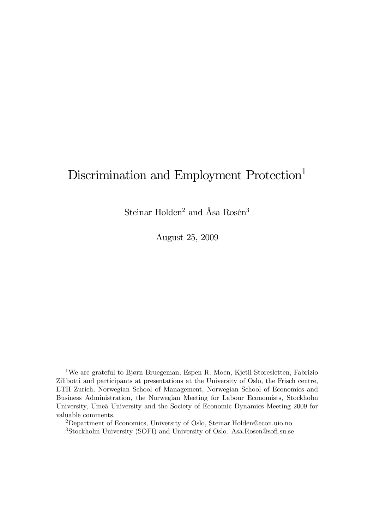# Discrimination and Employment Protection<sup>1</sup>

Steinar Holden<sup>2</sup> and Åsa Rosén<sup>3</sup>

August 25, 2009

1We are grateful to Bjørn Bruegeman, Espen R. Moen, Kjetil Storesletten, Fabrizio Zilibotti and participants at presentations at the University of Oslo, the Frisch centre, ETH Zurich, Norwegian School of Management, Norwegian School of Economics and Business Administration, the Norwegian Meeting for Labour Economists, Stockholm University, Umeå University and the Society of Economic Dynamics Meeting 2009 for valuable comments.

2Department of Economics, University of Oslo, Steinar.Holden@econ.uio.no 3Stockholm University (SOFI) and University of Oslo. Asa.Rosen@sofi.su.se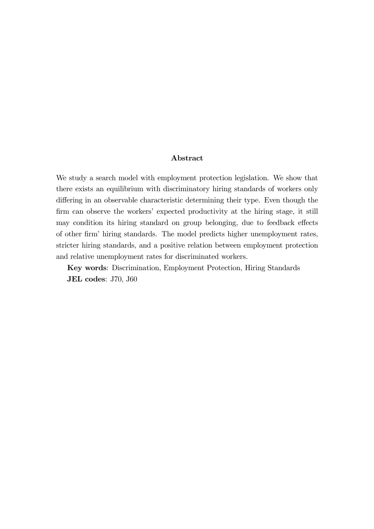#### Abstract

We study a search model with employment protection legislation. We show that there exists an equilibrium with discriminatory hiring standards of workers only differing in an observable characteristic determining their type. Even though the firm can observe the workers' expected productivity at the hiring stage, it still may condition its hiring standard on group belonging, due to feedback effects of other firm' hiring standards. The model predicts higher unemployment rates, stricter hiring standards, and a positive relation between employment protection and relative unemployment rates for discriminated workers.

Key words: Discrimination, Employment Protection, Hiring Standards JEL codes: J70, J60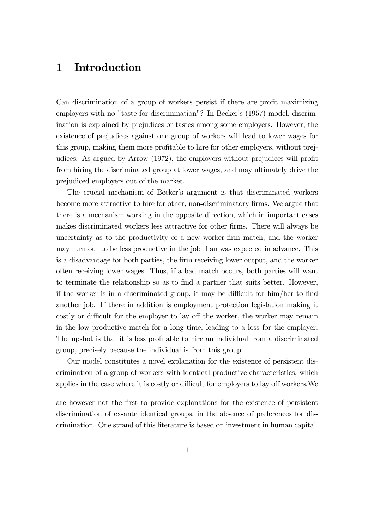# 1 Introduction

Can discrimination of a group of workers persist if there are profit maximizing employers with no "taste for discrimination"? In Becker's (1957) model, discrimination is explained by prejudices or tastes among some employers. However, the existence of prejudices against one group of workers will lead to lower wages for this group, making them more profitable to hire for other employers, without prejudices. As argued by Arrow (1972), the employers without prejudices will profit from hiring the discriminated group at lower wages, and may ultimately drive the prejudiced employers out of the market.

The crucial mechanism of Becker's argument is that discriminated workers become more attractive to hire for other, non-discriminatory firms. We argue that there is a mechanism working in the opposite direction, which in important cases makes discriminated workers less attractive for other firms. There will always be uncertainty as to the productivity of a new worker-firm match, and the worker may turn out to be less productive in the job than was expected in advance. This is a disadvantage for both parties, the firm receiving lower output, and the worker often receiving lower wages. Thus, if a bad match occurs, both parties will want to terminate the relationship so as to find a partner that suits better. However, if the worker is in a discriminated group, it may be difficult for him/her to find another job. If there in addition is employment protection legislation making it costly or difficult for the employer to lay off the worker, the worker may remain in the low productive match for a long time, leading to a loss for the employer. The upshot is that it is less profitable to hire an individual from a discriminated group, precisely because the individual is from this group.

Our model constitutes a novel explanation for the existence of persistent discrimination of a group of workers with identical productive characteristics, which applies in the case where it is costly or difficult for employers to lay off workers.We

are however not the first to provide explanations for the existence of persistent discrimination of ex-ante identical groups, in the absence of preferences for discrimination. One strand of this literature is based on investment in human capital.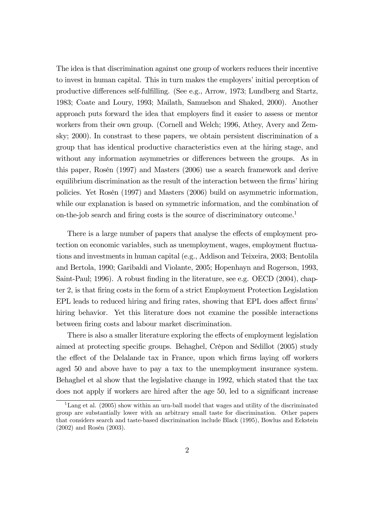The idea is that discrimination against one group of workers reduces their incentive to invest in human capital. This in turn makes the employers' initial perception of productive differences self-fulfilling. (See e.g., Arrow, 1973; Lundberg and Startz, 1983; Coate and Loury, 1993; Mailath, Samuelson and Shaked, 2000). Another approach puts forward the idea that employers find it easier to assess or mentor workers from their own group. (Cornell and Welch; 1996, Athey, Avery and Zemsky; 2000). In constrast to these papers, we obtain persistent discrimination of a group that has identical productive characteristics even at the hiring stage, and without any information asymmetries or differences between the groups. As in this paper, Rosén (1997) and Masters (2006) use a search framework and derive equilibrium discrimination as the result of the interaction between the firms' hiring policies. Yet Rosén (1997) and Masters (2006) build on asymmetric information, while our explanation is based on symmetric information, and the combination of on-the-job search and firing costs is the source of discriminatory outcome.<sup>1</sup>

There is a large number of papers that analyse the effects of employment protection on economic variables, such as unemployment, wages, employment fluctuations and investments in human capital (e.g., Addison and Teixeira, 2003; Bentolila and Bertola, 1990; Garibaldi and Violante, 2005; Hopenhayn and Rogerson, 1993, Saint-Paul; 1996). A robust finding in the literature, see e.g. OECD (2004), chapter 2, is that firing costs in the form of a strict Employment Protection Legislation EPL leads to reduced hiring and firing rates, showing that EPL does affect firms' hiring behavior. Yet this literature does not examine the possible interactions between firing costs and labour market discrimination.

There is also a smaller literature exploring the effects of employment legislation aimed at protecting specific groups. Behaghel, Crépon and Sédillot (2005) study the effect of the Delalande tax in France, upon which firms laying off workers aged 50 and above have to pay a tax to the unemployment insurance system. Behaghel et al show that the legislative change in 1992, which stated that the tax does not apply if workers are hired after the age 50, led to a significant increase

<sup>&</sup>lt;sup>1</sup>Lang et al.  $(2005)$  show within an urn-ball model that wages and utility of the discriminated group are substantially lower with an arbitrary small taste for discrimination. Other papers that considers search and taste-based discrimination include Black (1995), Bowlus and Eckstein (2002) and Rosén (2003).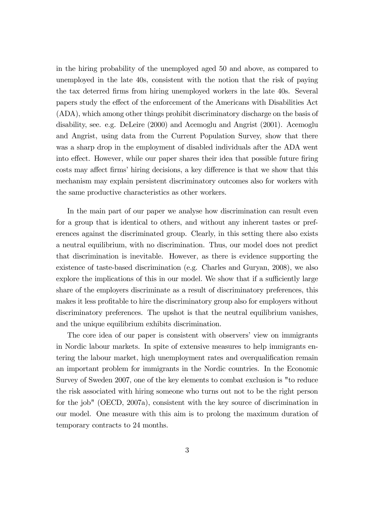in the hiring probability of the unemployed aged 50 and above, as compared to unemployed in the late 40s, consistent with the notion that the risk of paying the tax deterred firms from hiring unemployed workers in the late 40s. Several papers study the effect of the enforcement of the Americans with Disabilities Act (ADA), which among other things prohibit discriminatory discharge on the basis of disability, see. e.g. DeLeire (2000) and Acemoglu and Angrist (2001). Acemoglu and Angrist, using data from the Current Population Survey, show that there was a sharp drop in the employment of disabled individuals after the ADA went into effect. However, while our paper shares their idea that possible future firing costs may affect firms' hiring decisions, a key difference is that we show that this mechanism may explain persistent discriminatory outcomes also for workers with the same productive characteristics as other workers.

In the main part of our paper we analyse how discrimination can result even for a group that is identical to others, and without any inherent tastes or preferences against the discriminated group. Clearly, in this setting there also exists a neutral equilibrium, with no discrimination. Thus, our model does not predict that discrimination is inevitable. However, as there is evidence supporting the existence of taste-based discrimination (e.g. Charles and Guryan, 2008), we also explore the implications of this in our model. We show that if a sufficiently large share of the employers discriminate as a result of discriminatory preferences, this makes it less profitable to hire the discriminatory group also for employers without discriminatory preferences. The upshot is that the neutral equilibrium vanishes, and the unique equilibrium exhibits discrimination.

The core idea of our paper is consistent with observers' view on immigrants in Nordic labour markets. In spite of extensive measures to help immigrants entering the labour market, high unemployment rates and overqualification remain an important problem for immigrants in the Nordic countries. In the Economic Survey of Sweden 2007, one of the key elements to combat exclusion is "to reduce the risk associated with hiring someone who turns out not to be the right person for the job" (OECD, 2007a), consistent with the key source of discrimination in our model. One measure with this aim is to prolong the maximum duration of temporary contracts to 24 months.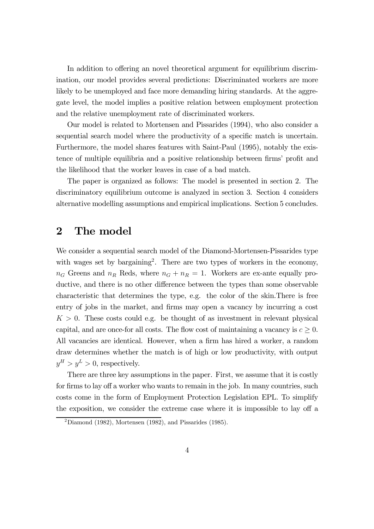In addition to offering an novel theoretical argument for equilibrium discrimination, our model provides several predictions: Discriminated workers are more likely to be unemployed and face more demanding hiring standards. At the aggregate level, the model implies a positive relation between employment protection and the relative unemployment rate of discriminated workers.

Our model is related to Mortensen and Pissarides (1994), who also consider a sequential search model where the productivity of a specific match is uncertain. Furthermore, the model shares features with Saint-Paul (1995), notably the existence of multiple equilibria and a positive relationship between firms' profit and the likelihood that the worker leaves in case of a bad match.

The paper is organized as follows: The model is presented in section 2. The discriminatory equilibrium outcome is analyzed in section 3. Section 4 considers alternative modelling assumptions and empirical implications. Section 5 concludes.

# 2 The model

We consider a sequential search model of the Diamond-Mortensen-Pissarides type with wages set by bargaining<sup>2</sup>. There are two types of workers in the economy,  $n_G$  Greens and  $n_R$  Reds, where  $n_G + n_R = 1$ . Workers are ex-ante equally productive, and there is no other difference between the types than some observable characteristic that determines the type, e.g. the color of the skin.There is free entry of jobs in the market, and firms may open a vacancy by incurring a cost  $K > 0$ . These costs could e.g. be thought of as investment in relevant physical capital, and are once-for all costs. The flow cost of maintaining a vacancy is  $c \geq 0$ . All vacancies are identical. However, when a firm has hired a worker, a random draw determines whether the match is of high or low productivity, with output  $y^H > y^L > 0$ , respectively.

There are three key assumptions in the paper. First, we assume that it is costly for firms to lay off a worker who wants to remain in the job. In many countries, such costs come in the form of Employment Protection Legislation EPL. To simplify the exposition, we consider the extreme case where it is impossible to lay off a

 $2$ Diamond (1982), Mortensen (1982), and Pissarides (1985).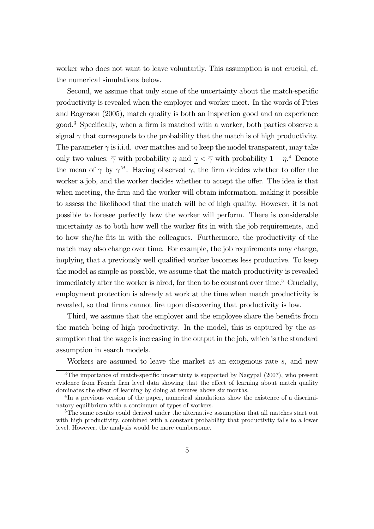worker who does not want to leave voluntarily. This assumption is not crucial, cf. the numerical simulations below.

Second, we assume that only some of the uncertainty about the match-specific productivity is revealed when the employer and worker meet. In the words of Pries and Rogerson (2005), match quality is both an inspection good and an experience good.3 Specifically, when a firm is matched with a worker, both parties observe a signal  $\gamma$  that corresponds to the probability that the match is of high productivity. The parameter  $\gamma$  is i.i.d. over matches and to keep the model transparent, may take only two values:  $\overline{\gamma}$  with probability  $\eta$  and  $\underline{\gamma} < \overline{\gamma}$  with probability  $1 - \eta$ <sup>4</sup>. Denote the mean of  $\gamma$  by  $\gamma^M$ . Having observed  $\gamma$ , the firm decides whether to offer the worker a job, and the worker decides whether to accept the offer. The idea is that when meeting, the firm and the worker will obtain information, making it possible to assess the likelihood that the match will be of high quality. However, it is not possible to foresee perfectly how the worker will perform. There is considerable uncertainty as to both how well the worker fits in with the job requirements, and to how she/he fits in with the colleagues. Furthermore, the productivity of the match may also change over time. For example, the job requirements may change, implying that a previously well qualified worker becomes less productive. To keep the model as simple as possible, we assume that the match productivity is revealed immediately after the worker is hired, for then to be constant over time.<sup>5</sup> Crucially, employment protection is already at work at the time when match productivity is revealed, so that firms cannot fire upon discovering that productivity is low.

Third, we assume that the employer and the employee share the benefits from the match being of high productivity. In the model, this is captured by the assumption that the wage is increasing in the output in the job, which is the standard assumption in search models.

Workers are assumed to leave the market at an exogenous rate s, and new

<sup>&</sup>lt;sup>3</sup>The importance of match-specific uncertainty is supported by Nagypal (2007), who present evidence from French firm level data showing that the effect of learning about match quality dominates the effect of learning by doing at tenures above six months.

<sup>&</sup>lt;sup>4</sup>In a previous version of the paper, numerical simulations show the existence of a discriminatory equilibrium with a continuum of types of workers.

<sup>5</sup>The same results could derived under the alternative assumption that all matches start out with high productivity, combined with a constant probability that productivity falls to a lower level. However, the analysis would be more cumbersome.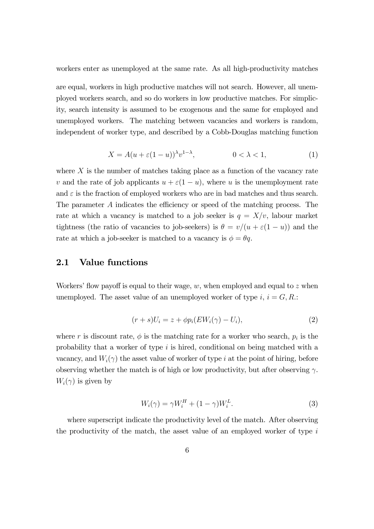workers enter as unemployed at the same rate. As all high-productivity matches are equal, workers in high productive matches will not search. However, all unemployed workers search, and so do workers in low productive matches. For simplicity, search intensity is assumed to be exogenous and the same for employed and unemployed workers. The matching between vacancies and workers is random, independent of worker type, and described by a Cobb-Douglas matching function

$$
X = A(u + \varepsilon (1 - u))^{\lambda} v^{1 - \lambda}, \qquad 0 < \lambda < 1,\tag{1}
$$

where  $X$  is the number of matches taking place as a function of the vacancy rate v and the rate of job applicants  $u + \varepsilon(1 - u)$ , where u is the unemployment rate and  $\varepsilon$  is the fraction of employed workers who are in bad matches and thus search. The parameter A indicates the efficiency or speed of the matching process. The rate at which a vacancy is matched to a job seeker is  $q = X/v$ , labour market tightness (the ratio of vacancies to job-seekers) is  $\theta = v/(u + \varepsilon(1 - u))$  and the rate at which a job-seeker is matched to a vacancy is  $\phi = \theta q$ .

## 2.1 Value functions

Workers' flow payoff is equal to their wage,  $w$ , when employed and equal to z when unemployed. The asset value of an unemployed worker of type  $i, i = G, R$ .

$$
(r+s)U_i = z + \phi p_i(EW_i(\gamma) - U_i), \qquad (2)
$$

where r is discount rate,  $\phi$  is the matching rate for a worker who search,  $p_i$  is the probability that a worker of type i is hired, conditional on being matched with a vacancy, and  $W_i(\gamma)$  the asset value of worker of type i at the point of hiring, before observing whether the match is of high or low productivity, but after observing  $\gamma$ .  $W_i(\gamma)$  is given by

$$
W_i(\gamma) = \gamma W_i^H + (1 - \gamma) W_i^L. \tag{3}
$$

where superscript indicate the productivity level of the match. After observing the productivity of the match, the asset value of an employed worker of type  $i$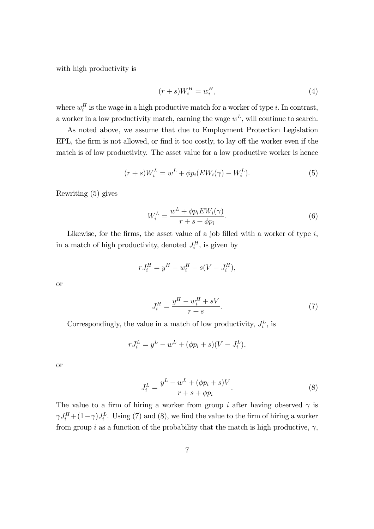with high productivity is

$$
(r+s)W_i^H = w_i^H,\t\t(4)
$$

where  $w_i^H$  is the wage in a high productive match for a worker of type i. In contrast, a worker in a low productivity match, earning the wage  $w<sup>L</sup>$ , will continue to search.

As noted above, we assume that due to Employment Protection Legislation EPL, the firm is not allowed, or find it too costly, to lay off the worker even if the match is of low productivity. The asset value for a low productive worker is hence

$$
(r+s)W_i^L = w^L + \phi p_i(EW_i(\gamma) - W_i^L). \tag{5}
$$

Rewriting (5) gives

$$
W_i^L = \frac{w^L + \phi p_i E W_i(\gamma)}{r + s + \phi p_i}.
$$
\n
$$
(6)
$$

Likewise, for the firms, the asset value of a job filled with a worker of type  $i$ , in a match of high productivity, denoted  $J_i^H$ , is given by

$$
rJ_i^H = y^H - w_i^H + s(V - J_i^H),
$$

or

$$
J_i^H = \frac{y^H - w_i^H + sV}{r + s}.
$$
\n(7)

Correspondingly, the value in a match of low productivity,  $J_i^L$ , is

$$
rJ_i^L = y^L - w^L + (\phi p_i + s)(V - J_i^L),
$$

or

$$
J_i^L = \frac{y^L - w^L + (\phi p_i + s)V}{r + s + \phi p_i}.
$$
 (8)

The value to a firm of hiring a worker from group i after having observed  $\gamma$  is  $\gamma J_i^H + (1 - \gamma) J_i^L$ . Using (7) and (8), we find the value to the firm of hiring a worker from group  $i$  as a function of the probability that the match is high productive,  $\gamma,$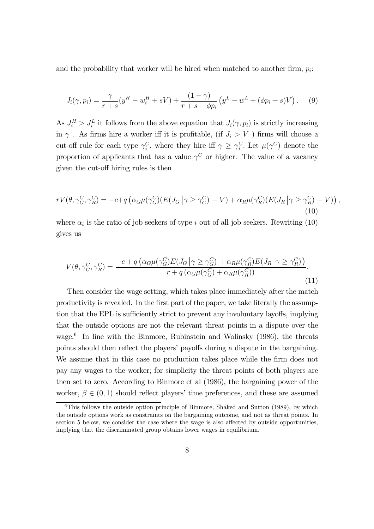and the probability that worker will be hired when matched to another firm,  $p_i$ :

$$
J_i(\gamma, p_i) = \frac{\gamma}{r+s}(y^H - w_i^H + sV) + \frac{(1-\gamma)}{r+s+\phi p_i}(y^L - w^L + (\phi p_i + s)V).
$$
 (9)

As  $J_i^H > J_i^L$  it follows from the above equation that  $J_i(\gamma, p_i)$  is strictly increasing in  $\gamma$ . As firms hire a worker iff it is profitable, (if  $J_i > V$ ) firms will choose a cut-off rule for each type  $\gamma_i^C$ , where they hire iff  $\gamma \geq \gamma_i^C$ . Let  $\mu(\gamma^C)$  denote the proportion of applicants that has a value  $\gamma^C$  or higher. The value of a vacancy given the cut-off hiring rules is then

$$
rV(\theta, \gamma_G^C, \gamma_R^C) = -c + q\left(\alpha_G\mu(\gamma_G^C)(E(J_G|\gamma \ge \gamma_G^C) - V) + \alpha_R\mu(\gamma_R^C)(E(J_R|\gamma \ge \gamma_R^C) - V)\right),\tag{10}
$$

where  $\alpha_i$  is the ratio of job seekers of type i out of all job seekers. Rewriting (10) gives us

$$
V(\theta, \gamma_G^C, \gamma_R^C) = \frac{-c + q\left(\alpha_G \mu(\gamma_G^C) E(J_G \mid \gamma \ge \gamma_G^C) + \alpha_R \mu(\gamma_R^C) E(J_R \mid \gamma \ge \gamma_R^C)\right)}{r + q\left(\alpha_G \mu(\gamma_G^C) + \alpha_R \mu(\gamma_R^C)\right)}.
$$
\n(11)

Then consider the wage setting, which takes place immediately after the match productivity is revealed. In the first part of the paper, we take literally the assumption that the EPL is sufficiently strict to prevent any involuntary layoffs, implying that the outside options are not the relevant threat points in a dispute over the wage. $6$  In line with the Binmore, Rubinstein and Wolinsky (1986), the threats points should then reflect the players' payoffs during a dispute in the bargaining. We assume that in this case no production takes place while the firm does not pay any wages to the worker; for simplicity the threat points of both players are then set to zero. According to Binmore et al (1986), the bargaining power of the worker,  $\beta \in (0,1)$  should reflect players' time preferences, and these are assumed

 $6$ This follows the outside option principle of Binmore, Shaked and Sutton (1989), by which the outside options work as constraints on the bargaining outcome, and not as threat points. In section 5 below, we consider the case where the wage is also affected by outside opportunities, implying that the discriminated group obtains lower wages in equilibrium.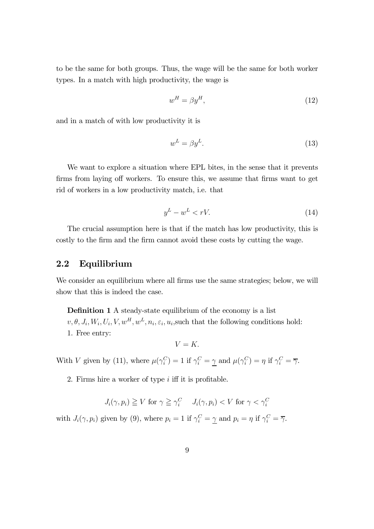to be the same for both groups. Thus, the wage will be the same for both worker types. In a match with high productivity, the wage is

$$
w^H = \beta y^H,\tag{12}
$$

and in a match of with low productivity it is

$$
w^L = \beta y^L. \tag{13}
$$

We want to explore a situation where EPL bites, in the sense that it prevents firms from laying off workers. To ensure this, we assume that firms want to get rid of workers in a low productivity match, i.e. that

$$
y^L - w^L < rV.\tag{14}
$$

The crucial assumption here is that if the match has low productivity, this is costly to the firm and the firm cannot avoid these costs by cutting the wage.

## 2.2 Equilibrium

We consider an equilibrium where all firms use the same strategies; below, we will show that this is indeed the case.

Definition 1 A steady-state equilibrium of the economy is a list  $v, \theta, J_i, W_i, U_i, V, w^H, w^L, n_i, \varepsilon_i, u_i$ , such that the following conditions hold: 1. Free entry:

 $V = K$ 

With V given by (11), where  $\mu(\gamma_i^C) = 1$  if  $\gamma_i^C = \underline{\gamma}$  and  $\mu(\gamma_i^C) = \eta$  if  $\gamma_i^C = \overline{\gamma}$ .

2. Firms hire a worker of type  $i$  iff it is profitable.

$$
J_i(\gamma, p_i) \ge V \text{ for } \gamma \ge \gamma_i^C \quad J_i(\gamma, p_i) < V \text{ for } \gamma < \gamma_i^C
$$

with  $J_i(\gamma, p_i)$  given by (9), where  $p_i = 1$  if  $\gamma_i^C = \gamma$  and  $p_i = \eta$  if  $\gamma_i^C = \overline{\gamma}$ .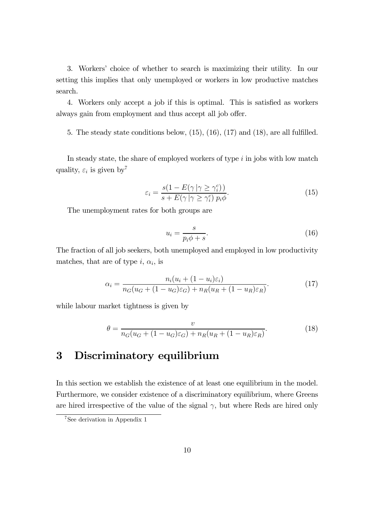3. Workers' choice of whether to search is maximizing their utility. In our setting this implies that only unemployed or workers in low productive matches search.

4. Workers only accept a job if this is optimal. This is satisfied as workers always gain from employment and thus accept all job offer.

5. The steady state conditions below, (15), (16), (17) and (18), are all fulfilled.

In steady state, the share of employed workers of type  $i$  in jobs with low match quality,  $\varepsilon_i$  is given by<sup>7</sup>

$$
\varepsilon_i = \frac{s(1 - E(\gamma \mid \gamma \ge \gamma_i^c))}{s + E(\gamma \mid \gamma \ge \gamma_i^c) p_i \phi}.
$$
\n(15)

The unemployment rates for both groups are

$$
u_i = \frac{s}{p_i \phi + s}.\tag{16}
$$

The fraction of all job seekers, both unemployed and employed in low productivity matches, that are of type i,  $\alpha_i$ , is

$$
\alpha_i = \frac{n_i(u_i + (1 - u_i)\varepsilon_i)}{n_G(u_G + (1 - u_G)\varepsilon_G) + n_R(u_R + (1 - u_R)\varepsilon_R)}.
$$
(17)

while labour market tightness is given by

$$
\theta = \frac{v}{n_G(u_G + (1 - u_G)\varepsilon_G) + n_R(u_R + (1 - u_R)\varepsilon_R)}.\tag{18}
$$

# 3 Discriminatory equilibrium

In this section we establish the existence of at least one equilibrium in the model. Furthermore, we consider existence of a discriminatory equilibrium, where Greens are hired irrespective of the value of the signal  $\gamma$ , but where Reds are hired only

<sup>7</sup>See derivation in Appendix 1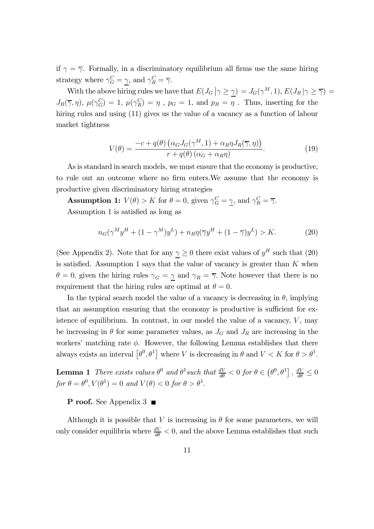if  $\gamma = \overline{\gamma}$ . Formally, in a discriminatory equilibrium all firms use the same hiring strategy where  $\gamma_G^C = \underline{\gamma}$ , and  $\gamma_R^C = \overline{\gamma}$ .

With the above hiring rules we have that  $E(J_G | \gamma \ge \gamma) = J_G(\gamma^M, 1), E(J_R | \gamma \ge \overline{\gamma}) =$  $J_R(\overline{\gamma}, \eta)$ ,  $\mu(\gamma_G^C) = 1$ ,  $\mu(\gamma_R^C) = \eta$ ,  $p_G = 1$ , and  $p_R = \eta$ . Thus, inserting for the hiring rules and using (11) gives us the value of a vacancy as a function of labour market tightness

$$
V(\theta) = \frac{-c + q(\theta) \left( \alpha_G J_G(\gamma^M, 1) + \alpha_R \eta J_R(\overline{\gamma}, \eta) \right)}{r + q(\theta) \left( \alpha_G + \alpha_R \eta \right)}.
$$
(19)

As is standard in search models, we must ensure that the economy is productive, to rule out an outcome where no firm enters.We assume that the economy is productive given discriminatory hiring strategies

**Assumption 1:**  $V(\theta) > K$  for  $\theta = 0$ , given  $\gamma_G^C = \gamma$ , and  $\gamma_R^C = \overline{\gamma}$ . Assumption 1 is satisfied as long as

$$
n_G(\gamma^M y^H + (1 - \gamma^M) y^L) + n_R \eta(\overline{\gamma} y^H + (1 - \overline{\gamma}) y^L) > K. \tag{20}
$$

(See Appendix 2). Note that for any  $\gamma \geq 0$  there exist values of  $y^H$  such that (20) is satisfied. Assumption 1 says that the value of vacancy is greater than  $K$  when  $\theta = 0$ , given the hiring rules  $\gamma_G = \gamma$  and  $\gamma_R = \overline{\gamma}$ . Note however that there is no requirement that the hiring rules are optimal at  $\theta = 0$ .

In the typical search model the value of a vacancy is decreasing in  $\theta$ , implying that an assumption ensuring that the economy is productive is sufficient for existence of equilibrium. In contrast, in our model the value of a vacancy,  $V$ , may be increasing in  $\theta$  for some parameter values, as  $J_G$  and  $J_R$  are increasing in the workers' matching rate  $\phi$ . However, the following Lemma establishes that there always exists an interval  $\left[\theta^0, \theta^1\right]$  where V is decreasing in  $\theta$  and  $V < K$  for  $\theta > \theta^1$ .

**Lemma 1** There exists values  $\theta^0$  and  $\theta^1$  such that  $\frac{dV}{d\theta} < 0$  for  $\theta \in (\theta^0, \theta^1]$ ,  $\frac{dV}{d\theta} \leq 0$  $for \theta = \theta^0, V(\theta^1) = 0 \text{ and } V(\theta) < 0 \text{ for } \theta > \theta^1.$ 

## P roof. See Appendix 3 ■

Although it is possible that V is increasing in  $\theta$  for some parameters, we will only consider equilibria where  $\frac{dV}{d\theta} < 0$ , and the above Lemma establishes that such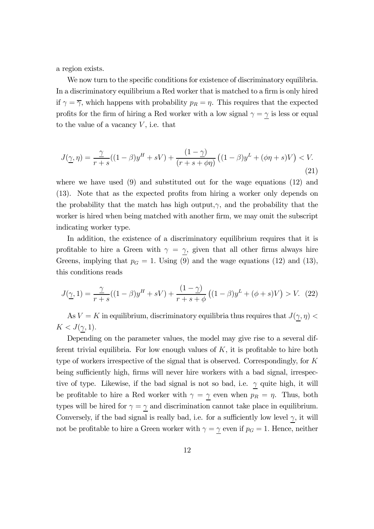a region exists.

We now turn to the specific conditions for existence of discriminatory equilibria. In a discriminatory equilibrium a Red worker that is matched to a firm is only hired if  $\gamma = \overline{\gamma}$ , which happens with probability  $p_R = \eta$ . This requires that the expected profits for the firm of hiring a Red worker with a low signal  $\gamma = \gamma$  is less or equal to the value of a vacancy  $V$ , i.e. that

$$
J(\underline{\gamma}, \eta) = \frac{\gamma}{r+s}((1-\beta)y^H + sV) + \frac{(1-\gamma)}{(r+s+\phi\eta)}((1-\beta)y^L + (\phi\eta + s)V) < V.
$$
\n(21)

where we have used (9) and substituted out for the wage equations (12) and (13). Note that as the expected profits from hiring a worker only depends on the probability that the match has high output, $\gamma$ , and the probability that the worker is hired when being matched with another firm, we may omit the subscript indicating worker type.

In addition, the existence of a discriminatory equilibrium requires that it is profitable to hire a Green with  $\gamma = \gamma$ , given that all other firms always hire Greens, implying that  $p<sub>G</sub> = 1$ . Using (9) and the wage equations (12) and (13), this conditions reads

$$
J(\underline{\gamma}, 1) = \frac{\gamma}{r+s}((1-\beta)y^H + sV) + \frac{(1-\gamma)}{r+s+\phi}((1-\beta)y^L + (\phi+s)V) > V. \tag{22}
$$

As  $V = K$  in equilibrium, discriminatory equilibria thus requires that  $J(\gamma, \eta)$  $K < J(\gamma, 1)$ .

Depending on the parameter values, the model may give rise to a several different trivial equilibria. For low enough values of  $K$ , it is profitable to hire both type of workers irrespective of the signal that is observed. Correspondingly, for K being sufficiently high, firms will never hire workers with a bad signal, irrespective of type. Likewise, if the bad signal is not so bad, i.e.  $\gamma$  quite high, it will be profitable to hire a Red worker with  $\gamma = \gamma$  even when  $p_R = \eta$ . Thus, both types will be hired for  $\gamma = \gamma$  and discrimination cannot take place in equilibrium. Conversely, if the bad signal is really bad, i.e. for a sufficiently low level  $\gamma$ , it will not be profitable to hire a Green worker with  $\gamma = \gamma$  even if  $p_G = 1$ . Hence, neither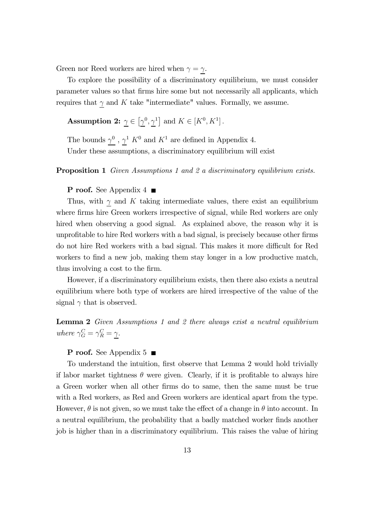Green nor Reed workers are hired when  $\gamma = \gamma$ .

To explore the possibility of a discriminatory equilibrium, we must consider parameter values so that firms hire some but not necessarily all applicants, which requires that  $\gamma$  and K take "intermediate" values. Formally, we assume.

**Assumption 2:**  $\gamma \in [\gamma^0, \gamma^1]$  and  $K \in [K^0, K^1]$ .

The bounds  $\gamma^0$ ,  $\gamma^1$  K<sup>0</sup> and K<sup>1</sup> are defined in Appendix 4. Under these assumptions, a discriminatory equilibrium will exist

#### **Proposition 1** Given Assumptions 1 and 2 a discriminatory equilibrium exists.

## P roof. See Appendix 4 ■

Thus, with  $\gamma$  and K taking intermediate values, there exist an equilibrium where firms hire Green workers irrespective of signal, while Red workers are only hired when observing a good signal. As explained above, the reason why it is unprofitable to hire Red workers with a bad signal, is precisely because other firms do not hire Red workers with a bad signal. This makes it more difficult for Red workers to find a new job, making them stay longer in a low productive match, thus involving a cost to the firm.

However, if a discriminatory equilibrium exists, then there also exists a neutral equilibrium where both type of workers are hired irrespective of the value of the signal  $\gamma$  that is observed.

Lemma 2 Given Assumptions 1 and 2 there always exist a neutral equilibrium where  $\gamma_G^C = \gamma_R^C = \underline{\gamma}.$ 

#### **P** roof. See Appendix 5

To understand the intuition, first observe that Lemma 2 would hold trivially if labor market tightness  $\theta$  were given. Clearly, if it is profitable to always hire a Green worker when all other firms do to same, then the same must be true with a Red workers, as Red and Green workers are identical apart from the type. However,  $\theta$  is not given, so we must take the effect of a change in  $\theta$  into account. In a neutral equilibrium, the probability that a badly matched worker finds another job is higher than in a discriminatory equilibrium. This raises the value of hiring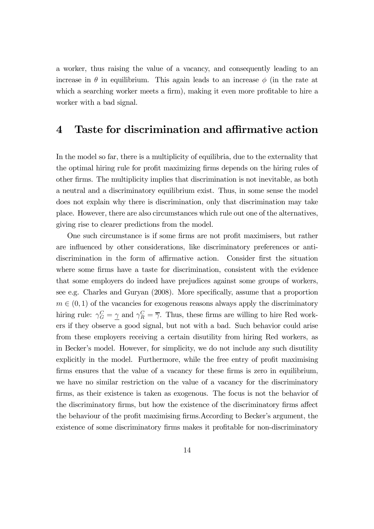a worker, thus raising the value of a vacancy, and consequently leading to an increase in  $\theta$  in equilibrium. This again leads to an increase  $\phi$  (in the rate at which a searching worker meets a firm), making it even more profitable to hire a worker with a bad signal.

## 4 Taste for discrimination and affirmative action

In the model so far, there is a multiplicity of equilibria, due to the externality that the optimal hiring rule for profit maximizing firms depends on the hiring rules of other firms. The multiplicity implies that discrimination is not inevitable, as both a neutral and a discriminatory equilibrium exist. Thus, in some sense the model does not explain why there is discrimination, only that discrimination may take place. However, there are also circumstances which rule out one of the alternatives, giving rise to clearer predictions from the model.

One such circumstance is if some firms are not profit maximisers, but rather are influenced by other considerations, like discriminatory preferences or antidiscrimination in the form of affirmative action. Consider first the situation where some firms have a taste for discrimination, consistent with the evidence that some employers do indeed have prejudices against some groups of workers, see e.g. Charles and Guryan (2008). More specifically, assume that a proportion  $m \in (0, 1)$  of the vacancies for exogenous reasons always apply the discriminatory hiring rule:  $\gamma_G^C = \gamma$  and  $\gamma_R^C = \overline{\gamma}$ . Thus, these firms are willing to hire Red workers if they observe a good signal, but not with a bad. Such behavior could arise from these employers receiving a certain disutility from hiring Red workers, as in Becker's model. However, for simplicity, we do not include any such disutility explicitly in the model. Furthermore, while the free entry of profit maximising firms ensures that the value of a vacancy for these firms is zero in equilibrium, we have no similar restriction on the value of a vacancy for the discriminatory firms, as their existence is taken as exogenous. The focus is not the behavior of the discriminatory firms, but how the existence of the discriminatory firms affect the behaviour of the profit maximising firms.According to Becker's argument, the existence of some discriminatory firms makes it profitable for non-discriminatory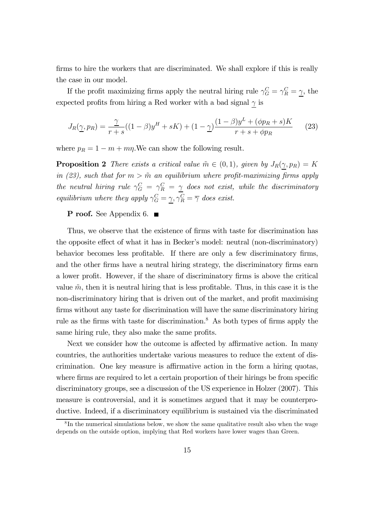firms to hire the workers that are discriminated. We shall explore if this is really the case in our model.

If the profit maximizing firms apply the neutral hiring rule  $\gamma_G^C = \gamma_R^C = \gamma$ , the expected profits from hiring a Red worker with a bad signal  $\gamma$  is

$$
J_R(\underline{\gamma}, p_R) = \frac{\gamma}{r+s}((1-\beta)y^H + sK) + (1-\gamma)\frac{(1-\beta)y^L + (\phi p_R + s)K}{r+s+\phi p_R}
$$
(23)

where  $p_R = 1 - m + m\eta$ . We can show the following result.

**Proposition 2** There exists a critical value  $\tilde{m} \in (0,1)$ , given by  $J_R(\gamma, p_R) = K$ in (23), such that for  $m > \tilde{m}$  an equilibrium where profit-maximizing firms apply the neutral hiring rule  $\gamma_G^C = \gamma_R^C = \gamma$  does not exist, while the discriminatory equilibrium where they apply  $\gamma_G^C = \gamma$ ,  $\gamma_R^C = \overline{\gamma}$  does exist.

#### P roof. See Appendix 6. ■

Thus, we observe that the existence of firms with taste for discrimination has the opposite effect of what it has in Becker's model: neutral (non-discriminatory) behavior becomes less profitable. If there are only a few discriminatory firms, and the other firms have a neutral hiring strategy, the discriminatory firms earn a lower profit. However, if the share of discriminatory firms is above the critical value  $\tilde{m}$ , then it is neutral hiring that is less profitable. Thus, in this case it is the non-discriminatory hiring that is driven out of the market, and profit maximising firms without any taste for discrimination will have the same discriminatory hiring rule as the firms with taste for discrimination.<sup>8</sup> As both types of firms apply the same hiring rule, they also make the same profits.

Next we consider how the outcome is affected by affirmative action. In many countries, the authorities undertake various measures to reduce the extent of discrimination. One key measure is affirmative action in the form a hiring quotas, where firms are required to let a certain proportion of their hirings be from specific discriminatory groups, see a discussion of the US experience in Holzer (2007). This measure is controversial, and it is sometimes argued that it may be counterproductive. Indeed, if a discriminatory equilibrium is sustained via the discriminated

 ${}^{8}$ In the numerical simulations below, we show the same qualitative result also when the wage depends on the outside option, implying that Red workers have lower wages than Green.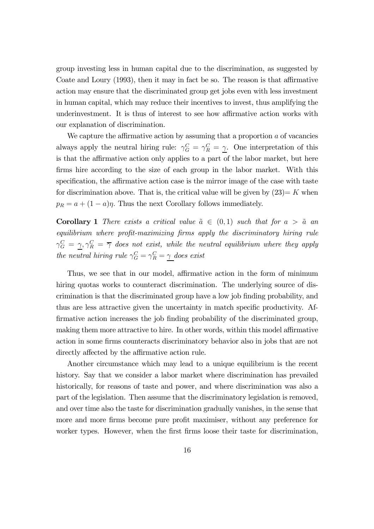group investing less in human capital due to the discrimination, as suggested by Coate and Loury (1993), then it may in fact be so. The reason is that affirmative action may ensure that the discriminated group get jobs even with less investment in human capital, which may reduce their incentives to invest, thus amplifying the underinvestment. It is thus of interest to see how affirmative action works with our explanation of discrimination.

We capture the affirmative action by assuming that a proportion a of vacancies always apply the neutral hiring rule:  $\gamma_G^C = \gamma_R^C = \gamma$ . One interpretation of this is that the affirmative action only applies to a part of the labor market, but here firms hire according to the size of each group in the labor market. With this specification, the affirmative action case is the mirror image of the case with taste for discrimination above. That is, the critical value will be given by  $(23) = K$  when  $p_R = a + (1 - a)\eta$ . Thus the next Corollary follows immediately.

**Corollary 1** There exists a critical value  $\tilde{a} \in (0,1)$  such that for  $a > \tilde{a}$  an equilibrium where profit-maximizing firms apply the discriminatory hiring rule  $\gamma_G^C \,=\, \gamma, \gamma_R^C \,=\, \overline{\gamma} \,$  does not exist, while the neutral equilibrium where they apply the neutral hiring rule  $\gamma_G^C = \gamma_R^C = \underline{\gamma}$  does exist

Thus, we see that in our model, affirmative action in the form of minimum hiring quotas works to counteract discrimination. The underlying source of discrimination is that the discriminated group have a low job finding probability, and thus are less attractive given the uncertainty in match specific productivity. Affirmative action increases the job finding probability of the discriminated group, making them more attractive to hire. In other words, within this model affirmative action in some firms counteracts discriminatory behavior also in jobs that are not directly affected by the affirmative action rule.

Another circumstance which may lead to a unique equilibrium is the recent history. Say that we consider a labor market where discrimination has prevailed historically, for reasons of taste and power, and where discrimination was also a part of the legislation. Then assume that the discriminatory legislation is removed, and over time also the taste for discrimination gradually vanishes, in the sense that more and more firms become pure profit maximiser, without any preference for worker types. However, when the first firms loose their taste for discrimination,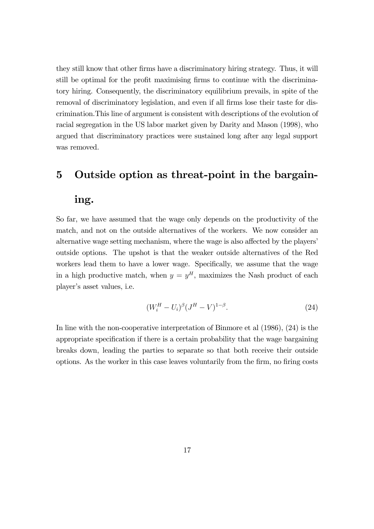they still know that other firms have a discriminatory hiring strategy. Thus, it will still be optimal for the profit maximising firms to continue with the discriminatory hiring. Consequently, the discriminatory equilibrium prevails, in spite of the removal of discriminatory legislation, and even if all firms lose their taste for discrimination.This line of argument is consistent with descriptions of the evolution of racial segregation in the US labor market given by Darity and Mason (1998), who argued that discriminatory practices were sustained long after any legal support was removed.

# 5 Outside option as threat-point in the bargain-

## ing.

So far, we have assumed that the wage only depends on the productivity of the match, and not on the outside alternatives of the workers. We now consider an alternative wage setting mechanism, where the wage is also affected by the players' outside options. The upshot is that the weaker outside alternatives of the Red workers lead them to have a lower wage. Specifically, we assume that the wage in a high productive match, when  $y = y<sup>H</sup>$ , maximizes the Nash product of each player's asset values, i.e.

$$
(W_i^H - U_i)^{\beta} (J^H - V)^{1-\beta}.
$$
\n(24)

In line with the non-cooperative interpretation of Binmore et al (1986), (24) is the appropriate specification if there is a certain probability that the wage bargaining breaks down, leading the parties to separate so that both receive their outside options. As the worker in this case leaves voluntarily from the firm, no firing costs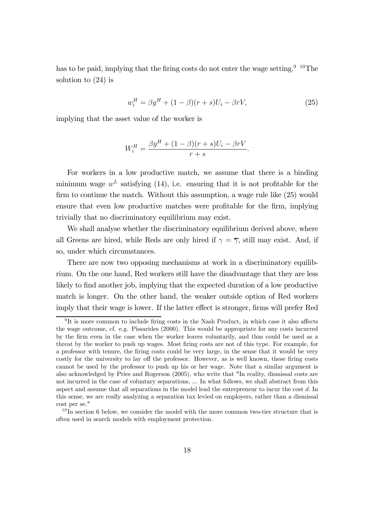has to be paid, implying that the firing costs do not enter the wage setting.<sup>9 10</sup>The solution to (24) is

$$
w_i^H = \beta y^H + (1 - \beta)(r + s)U_i - \beta r V,\tag{25}
$$

implying that the asset value of the worker is

$$
W_i^H = \frac{\beta y^H + (1 - \beta)(r + s)U_i - \beta rV}{r + s}.
$$

For workers in a low productive match, we assume that there is a binding minimum wage  $w^L$  satisfying (14), i.e. ensuring that it is not profitable for the firm to continue the match. Without this assumption, a wage rule like (25) would ensure that even low productive matches were profitable for the firm, implying trivially that no discriminatory equilibrium may exist.

We shall analyse whether the discriminatory equilibrium derived above, where all Greens are hired, while Reds are only hired if  $\gamma = \overline{\gamma}$ , still may exist. And, if so, under which circumstances.

There are now two opposing mechanisms at work in a discriminatory equilibrium. On the one hand, Red workers still have the disadvantage that they are less likely to find another job, implying that the expected duration of a low productive match is longer. On the other hand, the weaker outside option of Red workers imply that their wage is lower. If the latter effect is stronger, firms will prefer Red

 $9$ It is more common to include firing costs in the Nash Product, in which case it also affects the wage outcome, cf. e.g. Pissarides (2000). This would be appropriate for any costs incurred by the firm even in the case when the worker leaves voluntarily, and thus could be used as a threat by the worker to push up wages. Most firing costs are not of this type. For example, for a professor with tenure, the firing costs could be very large, in the sense that it would be very costly for the university to lay off the professor. However, as is well known, these firing costs cannot be used by the professor to push up his or her wage. Note that a similar argument is also acknowledged by Pries and Rogerson (2005), who write that "In reality, dismissal costs are not incurred in the case of voluntary separations, ... In what follows, we shall abstract from this aspect and assume that all separations in the model lead the entrepreneur to incur the cost d. In this sense, we are really analyzing a separation tax levied on employers, rather than a dismissal cost per se."

 $10$ In section 6 below, we consider the model with the more common two-tier structure that is often used in search models with employment protection.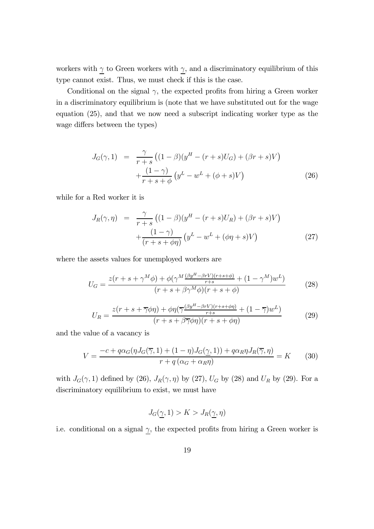workers with  $\gamma$  to Green workers with  $\gamma$ , and a discriminatory equilibrium of this type cannot exist. Thus, we must check if this is the case.

Conditional on the signal  $\gamma$ , the expected profits from hiring a Green worker in a discriminatory equilibrium is (note that we have substituted out for the wage equation (25), and that we now need a subscript indicating worker type as the wage differs between the types)

$$
J_G(\gamma, 1) = \frac{\gamma}{r+s} \left( (1-\beta)(y^H - (r+s)U_G) + (\beta r + s)V \right) + \frac{(1-\gamma)}{r+s+\phi} \left( y^L - w^L + (\phi+s)V \right)
$$
(26)

while for a Red worker it is

$$
J_R(\gamma, \eta) = \frac{\gamma}{r+s} \left( (1-\beta)(y^H - (r+s)U_R) + (\beta r + s)V \right) + \frac{(1-\gamma)}{(r+s+\phi\eta)} \left( y^L - w^L + (\phi\eta + s)V \right)
$$
(27)

where the assets values for unemployed workers are

$$
U_G = \frac{z(r+s+\gamma^M\phi) + \phi(\gamma^M \frac{(\beta y^H - \beta r V)(r+s+\phi)}{r+s} + (1-\gamma^M)w^L)}{(r+s+\beta\gamma^M\phi)(r+s+\phi)}
$$
(28)

$$
U_R = \frac{z(r+s+\overline{\gamma}\phi\eta) + \phi\eta(\overline{\gamma}\frac{(\beta y^H - \beta rV)(r+s+\phi\eta)}{r+s} + (1-\overline{\gamma})w^L)}{(r+s+\beta\overline{\gamma}\phi\eta)(r+s+\phi\eta)}\tag{29}
$$

and the value of a vacancy is

$$
V = \frac{-c + q\alpha_G(\eta J_G(\overline{\gamma}, 1) + (1 - \eta)J_G(\underline{\gamma}, 1)) + q\alpha_R \eta J_R(\overline{\gamma}, \eta)}{r + q(\alpha_G + \alpha_R \eta)} = K \qquad (30)
$$

with  $J_G(\gamma, 1)$  defined by (26),  $J_R(\gamma, \eta)$  by (27),  $U_G$  by (28) and  $U_R$  by (29). For a discriminatory equilibrium to exist, we must have

$$
J_G(\gamma, 1) > K > J_R(\gamma, \eta)
$$

i.e. conditional on a signal  $\gamma$ , the expected profits from hiring a Green worker is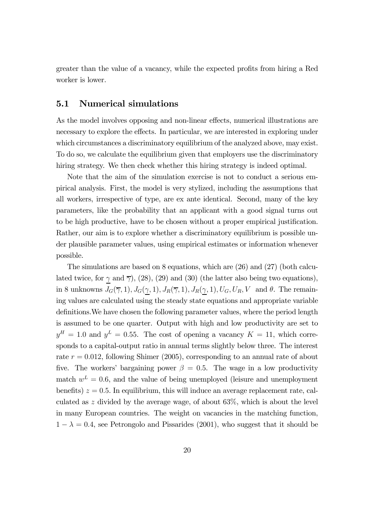greater than the value of a vacancy, while the expected profits from hiring a Red worker is lower.

## 5.1 Numerical simulations

As the model involves opposing and non-linear effects, numerical illustrations are necessary to explore the effects. In particular, we are interested in exploring under which circumstances a discriminatory equilibrium of the analyzed above, may exist. To do so, we calculate the equilibrium given that employers use the discriminatory hiring strategy. We then check whether this hiring strategy is indeed optimal.

Note that the aim of the simulation exercise is not to conduct a serious empirical analysis. First, the model is very stylized, including the assumptions that all workers, irrespective of type, are ex ante identical. Second, many of the key parameters, like the probability that an applicant with a good signal turns out to be high productive, have to be chosen without a proper empirical justification. Rather, our aim is to explore whether a discriminatory equilibrium is possible under plausible parameter values, using empirical estimates or information whenever possible.

The simulations are based on 8 equations, which are (26) and (27) (both calculated twice, for  $\gamma$  and  $\overline{\gamma}$ ), (28), (29) and (30) (the latter also being two equations), in 8 unknowns  $J_G(\overline{\gamma}, 1), J_G(\underline{\gamma}, 1), J_R(\overline{\gamma}, 1), J_R(\underline{\gamma}, 1), U_G, U_R, V$  and  $\theta$ . The remaining values are calculated using the steady state equations and appropriate variable definitions.We have chosen the following parameter values, where the period length is assumed to be one quarter. Output with high and low productivity are set to  $y<sup>H</sup> = 1.0$  and  $y<sup>L</sup> = 0.55$ . The cost of opening a vacancy  $K = 11$ , which corresponds to a capital-output ratio in annual terms slightly below three. The interest rate  $r = 0.012$ , following Shimer (2005), corresponding to an annual rate of about five. The workers' bargaining power  $\beta = 0.5$ . The wage in a low productivity match  $w^L = 0.6$ , and the value of being unemployed (leisure and unemployment benefits)  $z = 0.5$ . In equilibrium, this will induce an average replacement rate, calculated as z divided by the average wage, of about 63%, which is about the level in many European countries. The weight on vacancies in the matching function,  $1 - \lambda = 0.4$ , see Petrongolo and Pissarides (2001), who suggest that it should be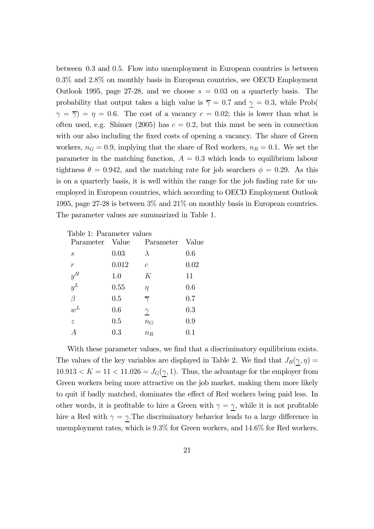between 0.3 and 0.5. Flow into unemployment in European countries is between 0.3% and 2.8% on monthly basis in European countries, see OECD Employment Outlook 1995, page 27-28, and we choose  $s = 0.03$  on a quarterly basis. The probability that output takes a high value is  $\overline{\gamma} = 0.7$  and  $\gamma = 0.3$ , while Prob(  $\gamma = \overline{\gamma}$  =  $\eta = 0.6$ . The cost of a vacancy  $c = 0.02$ ; this is lower than what is often used, e.g. Shimer (2005) has  $c = 0.2$ , but this must be seen in connection with our also including the fixed costs of opening a vacancy. The share of Green workers,  $n_G = 0.9$ , implying that the share of Red workers,  $n_R = 0.1$ . We set the parameter in the matching function,  $A = 0.3$  which leads to equilibrium labour tightness  $\theta = 0.942$ , and the matching rate for job searchers  $\phi = 0.29$ . As this is on a quarterly basis, it is well within the range for the job finding rate for unemployed in European countries, which according to OECD Employment Outlook 1995, page 27-28 is between 3% and 21% on monthly basis in European countries. The parameter values are summarized in Table 1.

| Table 1: Parameter values |           |                     |       |
|---------------------------|-----------|---------------------|-------|
| Parameter                 | Value     | Parameter           | Value |
| $\mathcal{S}_{0}^{(n)}$   | 0.03      | $\lambda$           | 0.6   |
| $\boldsymbol{r}$          | 0.012     | $\mathcal{C}$       | 0.02  |
| $y^{\cal H}$              | 1.0       | K                   | 11    |
| $y^L$                     | 0.55      | $\eta$              | 0.6   |
| $\beta$                   | $0.5\,$   | $\overline{\gamma}$ | 0.7   |
| $w^L$                     | 0.6       | $\gamma$            | 0.3   |
| $\tilde{z}$               | $0.5\,$   | $n_G$               | 0.9   |
|                           | $\rm 0.3$ | $n_R$               | 0.1   |

With these parameter values, we find that a discriminatory equilibrium exists. The values of the key variables are displayed in Table 2. We find that  $J_R(\gamma, \eta) =$  $10.913 < K = 11 < 11.026 = J<sub>G</sub>(\gamma, 1)$ . Thus, the advantage for the employer from Green workers being more attractive on the job market, making them more likely to quit if badly matched, dominates the effect of Red workers being paid less. In other words, it is profitable to hire a Green with  $\gamma = \gamma$ , while it is not profitable hire a Red with  $\gamma = \gamma$ . The discriminatory behavior leads to a large difference in unemployment rates, which is 9.3% for Green workers, and 14.6% for Red workers.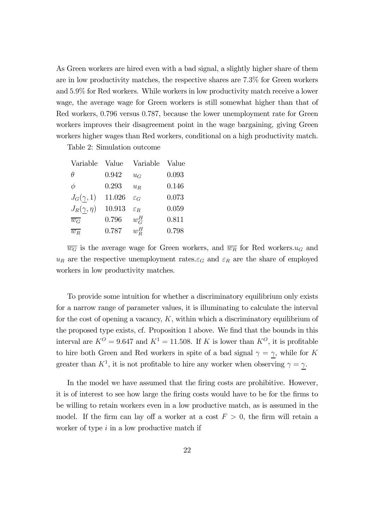As Green workers are hired even with a bad signal, a slightly higher share of them are in low productivity matches, the respective shares are 7.3% for Green workers and 5.9% for Red workers. While workers in low productivity match receive a lower wage, the average wage for Green workers is still somewhat higher than that of Red workers, 0.796 versus 0.787, because the lower unemployment rate for Green workers improves their disagreement point in the wage bargaining, giving Green workers higher wages than Red workers, conditional on a high productivity match.

Table 2: Simulation outcome

| Variable           | Value  | Variable        | Value |
|--------------------|--------|-----------------|-------|
| Ĥ                  | 0.942  | $u_G$           | 0.093 |
| $\phi$             | 0.293  | $u_R$           | 0.146 |
| $J_G(\gamma,1)$    | 11.026 | $\mathcal{E}G$  | 0.073 |
| $J_R(\gamma,\eta)$ | 10.913 | $\varepsilon_R$ | 0.059 |
| $\overline{w_G}$   | 0.796  | $w_G^H$         | 0.811 |
| $\overline{w_R}$   | 0.787  | $w_{\rm B}^H$   | 0.798 |
|                    |        |                 |       |

 $\overline{w_G}$  is the average wage for Green workers, and  $\overline{w_R}$  for Red workers. $u_G$  and  $u_R$  are the respective unemployment rates. $\varepsilon_G$  and  $\varepsilon_R$  are the share of employed workers in low productivity matches.

To provide some intuition for whether a discriminatory equilibrium only exists for a narrow range of parameter values, it is illuminating to calculate the interval for the cost of opening a vacancy,  $K$ , within which a discriminatory equilibrium of the proposed type exists, cf. Proposition 1 above. We find that the bounds in this interval are  $K^O = 9.647$  and  $K^1 = 11.508$ . If K is lower than  $K^O$ , it is profitable to hire both Green and Red workers in spite of a bad signal  $\gamma = \gamma$ , while for K greater than  $K^1$ , it is not profitable to hire any worker when observing  $\gamma = \underline{\gamma}$ .

In the model we have assumed that the firing costs are prohibitive. However, it is of interest to see how large the firing costs would have to be for the firms to be willing to retain workers even in a low productive match, as is assumed in the model. If the firm can lay off a worker at a cost  $F > 0$ , the firm will retain a worker of type  $i$  in a low productive match if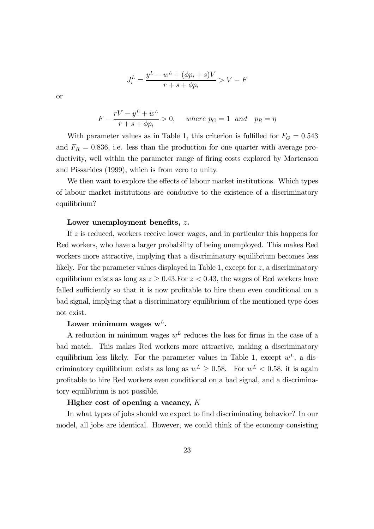$$
J_i^L = \frac{y^L - w^L + (\phi p_i + s)V}{r + s + \phi p_i} > V - F
$$

or

$$
F - \frac{rV - y^L + w^L}{r + s + \phi p_i} > 0, \quad where \ p_G = 1 \ and \ p_R = \eta
$$

With parameter values as in Table 1, this criterion is fulfilled for  $F<sub>G</sub> = 0.543$ and  $F_R = 0.836$ , i.e. less than the production for one quarter with average productivity, well within the parameter range of firing costs explored by Mortenson and Pissarides (1999), which is from zero to unity.

We then want to explore the effects of labour market institutions. Which types of labour market institutions are conducive to the existence of a discriminatory equilibrium?

#### Lower unemployment benefits, z.

If z is reduced, workers receive lower wages, and in particular this happens for Red workers, who have a larger probability of being unemployed. This makes Red workers more attractive, implying that a discriminatory equilibrium becomes less likely. For the parameter values displayed in Table 1, except for  $z$ , a discriminatory equilibrium exists as long as  $z \geq 0.43$ . For  $z < 0.43$ , the wages of Red workers have falled sufficiently so that it is now profitable to hire them even conditional on a bad signal, implying that a discriminatory equilibrium of the mentioned type does not exist.

## Lower minimum wages  $w^L$ .

A reduction in minimum wages  $w<sup>L</sup>$  reduces the loss for firms in the case of a bad match. This makes Red workers more attractive, making a discriminatory equilibrium less likely. For the parameter values in Table 1, except  $w^L$ , a discriminatory equilibrium exists as long as  $w^L > 0.58$ . For  $w^L < 0.58$ , it is again profitable to hire Red workers even conditional on a bad signal, and a discriminatory equilibrium is not possible.

#### Higher cost of opening a vacancy,  $K$

In what types of jobs should we expect to find discriminating behavior? In our model, all jobs are identical. However, we could think of the economy consisting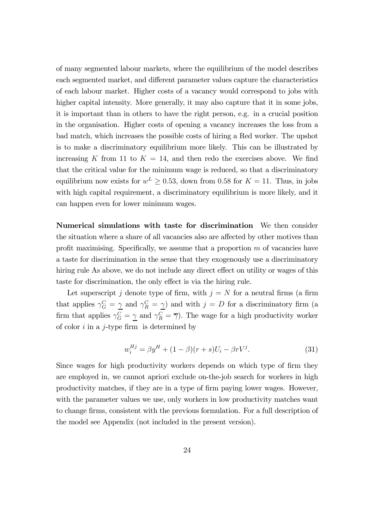of many segmented labour markets, where the equilibrium of the model describes each segmented market, and different parameter values capture the characteristics of each labour market. Higher costs of a vacancy would correspond to jobs with higher capital intensity. More generally, it may also capture that it in some jobs, it is important than in others to have the right person, e.g. in a crucial position in the organisation. Higher costs of opening a vacancy increases the loss from a bad match, which increases the possible costs of hiring a Red worker. The upshot is to make a discriminatory equilibrium more likely. This can be illustrated by increasing K from 11 to  $K = 14$ , and then redo the exercises above. We find that the critical value for the minimum wage is reduced, so that a discriminatory equilibrium now exists for  $w^L \geq 0.53$ , down from 0.58 for  $K = 11$ . Thus, in jobs with high capital requirement, a discriminatory equilibrium is more likely, and it can happen even for lower minimum wages.

Numerical simulations with taste for discrimination We then consider the situation where a share of all vacancies also are affected by other motives than profit maximising. Specifically, we assume that a proportion  $m$  of vacancies have a taste for discrimination in the sense that they exogenously use a discriminatory hiring rule As above, we do not include any direct effect on utility or wages of this taste for discrimination, the only effect is via the hiring rule.

Let superscript j denote type of firm, with  $j = N$  for a neutral firms (a firm that applies  $\gamma_G^C = \underline{\gamma}$  and  $\gamma_R^C = \underline{\gamma}$ ) and with  $j = D$  for a discriminatory firm (a firm that applies  $\gamma_G^C = \gamma$  and  $\gamma_R^C = \overline{\gamma}$ ). The wage for a high productivity worker of color  $i$  in a j-type firm is determined by

$$
w_i^{Hj} = \beta y^H + (1 - \beta)(r + s)U_i - \beta r V^j.
$$
 (31)

Since wages for high productivity workers depends on which type of firm they are employed in, we cannot apriori exclude on-the-job search for workers in high productivity matches, if they are in a type of firm paying lower wages. However, with the parameter values we use, only workers in low productivity matches want to change firms, consistent with the previous formulation. For a full description of the model see Appendix (not included in the present version).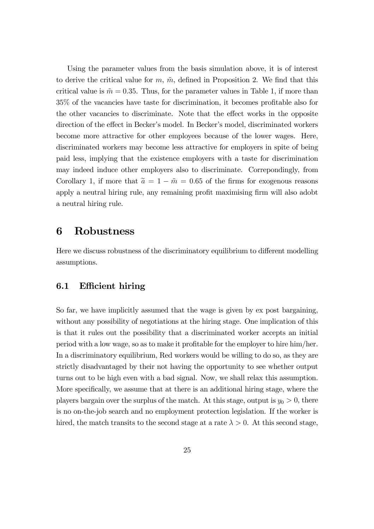Using the parameter values from the basis simulation above, it is of interest to derive the critical value for  $m, \tilde{m}$ , defined in Proposition 2. We find that this critical value is  $\tilde{m} = 0.35$ . Thus, for the parameter values in Table 1, if more than 35% of the vacancies have taste for discrimination, it becomes profitable also for the other vacancies to discriminate. Note that the effect works in the opposite direction of the effect in Becker's model. In Becker's model, discriminated workers become more attractive for other employees because of the lower wages. Here, discriminated workers may become less attractive for employers in spite of being paid less, implying that the existence employers with a taste for discrimination may indeed induce other employers also to discriminate. Correpondingly, from Corollary 1, if more that  $\tilde{a} = 1 - \tilde{m} = 0.65$  of the firms for exogenous reasons apply a neutral hiring rule, any remaining profit maximising firm will also adobt a neutral hiring rule.

## 6 Robustness

Here we discuss robustness of the discriminatory equilibrium to different modelling assumptions.

## 6.1 Efficient hiring

So far, we have implicitly assumed that the wage is given by ex post bargaining, without any possibility of negotiations at the hiring stage. One implication of this is that it rules out the possibility that a discriminated worker accepts an initial period with a low wage, so as to make it profitable for the employer to hire him/her. In a discriminatory equilibrium, Red workers would be willing to do so, as they are strictly disadvantaged by their not having the opportunity to see whether output turns out to be high even with a bad signal. Now, we shall relax this assumption. More specifically, we assume that at there is an additional hiring stage, where the players bargain over the surplus of the match. At this stage, output is  $y_0 > 0$ , there is no on-the-job search and no employment protection legislation. If the worker is hired, the match transits to the second stage at a rate  $\lambda > 0$ . At this second stage,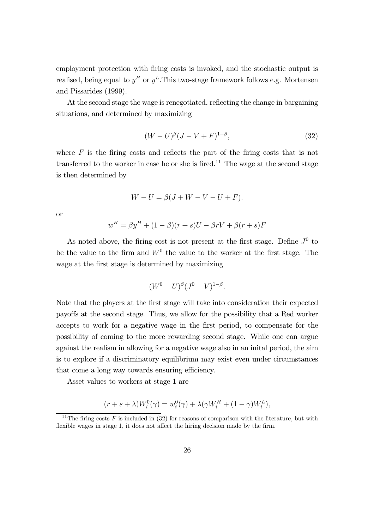employment protection with firing costs is invoked, and the stochastic output is realised, being equal to  $y^H$  or  $y^L$ . This two-stage framework follows e.g. Mortensen and Pissarides (1999).

At the second stage the wage is renegotiated, reflecting the change in bargaining situations, and determined by maximizing

$$
(W - U)^{\beta} (J - V + F)^{1 - \beta}, \tag{32}
$$

where  $F$  is the firing costs and reflects the part of the firing costs that is not transferred to the worker in case he or she is fired.<sup>11</sup> The wage at the second stage is then determined by

$$
W - U = \beta(J + W - V - U + F).
$$

or

$$
w^{H} = \beta y^{H} + (1 - \beta)(r + s)U - \beta rV + \beta(r + s)F
$$

As noted above, the firing-cost is not present at the first stage. Define  $J^0$  to be the value to the firm and  $W<sup>0</sup>$  the value to the worker at the first stage. The wage at the first stage is determined by maximizing

$$
(W^{0} - U)^{\beta} (J^{0} - V)^{1-\beta}.
$$

Note that the players at the first stage will take into consideration their expected payoffs at the second stage. Thus, we allow for the possibility that a Red worker accepts to work for a negative wage in the first period, to compensate for the possibility of coming to the more rewarding second stage. While one can argue against the realism in allowing for a negative wage also in an inital period, the aim is to explore if a discriminatory equilibrium may exist even under circumstances that come a long way towards ensuring efficiency.

Asset values to workers at stage 1 are

$$
(r+s+\lambda)W_i^0(\gamma) = w_i^0(\gamma) + \lambda(\gamma W_i^H + (1-\gamma)W_i^L),
$$

<sup>&</sup>lt;sup>11</sup>The firing costs F is included in (32) for reasons of comparison with the literature, but with flexible wages in stage 1, it does not affect the hiring decision made by the firm.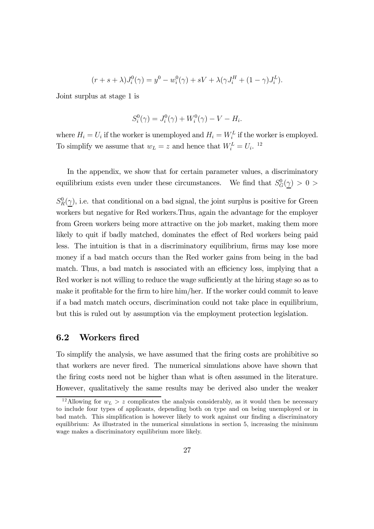$$
(r + s + \lambda)J_i^0(\gamma) = y^0 - w_i^0(\gamma) + sV + \lambda(\gamma J_i^H + (1 - \gamma)J_i^L).
$$

Joint surplus at stage 1 is

$$
S_i^0(\gamma) = J_i^0(\gamma) + W_i^0(\gamma) - V - H_i.
$$

where  $H_i = U_i$  if the worker is unemployed and  $H_i = W_i^L$  if the worker is employed. To simplify we assume that  $w_L = z$  and hence that  $W_i^L = U_i$ . <sup>12</sup>

In the appendix, we show that for certain parameter values, a discriminatory  $\,$  equilibrium exists even under these circumstances. We find that  $S_G^0(\gamma) > 0$ 

 $S_R^0(\gamma)$ , i.e. that conditional on a bad signal, the joint surplus is positive for Green workers but negative for Red workers.Thus, again the advantage for the employer from Green workers being more attractive on the job market, making them more likely to quit if badly matched, dominates the effect of Red workers being paid less. The intuition is that in a discriminatory equilibrium, firms may lose more money if a bad match occurs than the Red worker gains from being in the bad match. Thus, a bad match is associated with an efficiency loss, implying that a Red worker is not willing to reduce the wage sufficiently at the hiring stage so as to make it profitable for the firm to hire him/her. If the worker could commit to leave if a bad match match occurs, discrimination could not take place in equilibrium, but this is ruled out by assumption via the employment protection legislation.

## 6.2 Workers fired

To simplify the analysis, we have assumed that the firing costs are prohibitive so that workers are never fired. The numerical simulations above have shown that the firing costs need not be higher than what is often assumed in the literature. However, qualitatively the same results may be derived also under the weaker

<sup>&</sup>lt;sup>12</sup>Allowing for  $w_L > z$  complicates the analysis considerably, as it would then be necessary to include four types of applicants, depending both on type and on being unemployed or in bad match. This simplification is however likely to work against our finding a discriminatory equilibrium: As illustrated in the numerical simulations in section 5, increasing the minimum wage makes a discriminatory equilibrium more likely.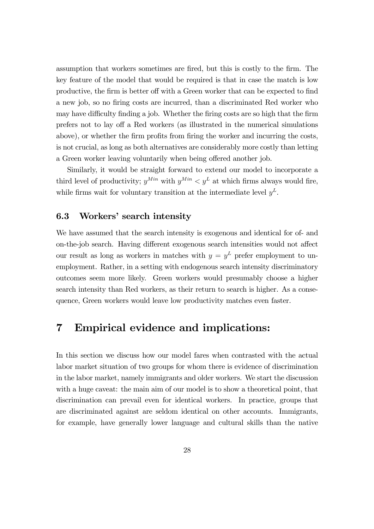assumption that workers sometimes are fired, but this is costly to the firm. The key feature of the model that would be required is that in case the match is low productive, the firm is better off with a Green worker that can be expected to find a new job, so no firing costs are incurred, than a discriminated Red worker who may have difficulty finding a job. Whether the firing costs are so high that the firm prefers not to lay off a Red workers (as illustrated in the numerical simulations above), or whether the firm profits from firing the worker and incurring the costs, is not crucial, as long as both alternatives are considerably more costly than letting a Green worker leaving voluntarily when being offered another job.

Similarly, it would be straight forward to extend our model to incorporate a third level of productivity;  $y^{Min}$  with  $y^{Min} < y^L$  at which firms always would fire, while firms wait for voluntary transition at the intermediate level  $y<sup>L</sup>$ .

## 6.3 Workers' search intensity

We have assumed that the search intensity is exogenous and identical for of- and on-the-job search. Having different exogenous search intensities would not affect our result as long as workers in matches with  $y = y^L$  prefer employment to unemployment. Rather, in a setting with endogenous search intensity discriminatory outcomes seem more likely. Green workers would presumably choose a higher search intensity than Red workers, as their return to search is higher. As a consequence, Green workers would leave low productivity matches even faster.

## 7 Empirical evidence and implications:

In this section we discuss how our model fares when contrasted with the actual labor market situation of two groups for whom there is evidence of discrimination in the labor market, namely immigrants and older workers. We start the discussion with a huge caveat: the main aim of our model is to show a theoretical point, that discrimination can prevail even for identical workers. In practice, groups that are discriminated against are seldom identical on other accounts. Immigrants, for example, have generally lower language and cultural skills than the native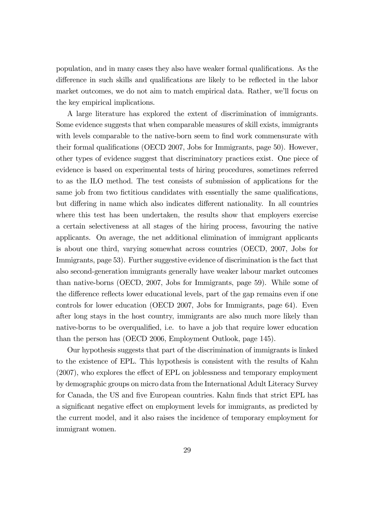population, and in many cases they also have weaker formal qualifications. As the difference in such skills and qualifications are likely to be reflected in the labor market outcomes, we do not aim to match empirical data. Rather, we'll focus on the key empirical implications.

A large literature has explored the extent of discrimination of immigrants. Some evidence suggests that when comparable measures of skill exists, immigrants with levels comparable to the native-born seem to find work commensurate with their formal qualifications (OECD 2007, Jobs for Immigrants, page 50). However, other types of evidence suggest that discriminatory practices exist. One piece of evidence is based on experimental tests of hiring procedures, sometimes referred to as the ILO method. The test consists of submission of applications for the same job from two fictitious candidates with essentially the same qualifications, but differing in name which also indicates different nationality. In all countries where this test has been undertaken, the results show that employers exercise a certain selectiveness at all stages of the hiring process, favouring the native applicants. On average, the net additional elimination of immigrant applicants is about one third, varying somewhat across countries (OECD, 2007, Jobs for Immigrants, page 53). Further suggestive evidence of discrimination is the fact that also second-generation immigrants generally have weaker labour market outcomes than native-borns (OECD, 2007, Jobs for Immigrants, page 59). While some of the difference reflects lower educational levels, part of the gap remains even if one controls for lower education (OECD 2007, Jobs for Immigrants, page 64). Even after long stays in the host country, immigrants are also much more likely than native-borns to be overqualified, i.e. to have a job that require lower education than the person has (OECD 2006, Employment Outlook, page 145).

Our hypothesis suggests that part of the discrimination of immigrants is linked to the existence of EPL. This hypothesis is consistent with the results of Kahn (2007), who explores the effect of EPL on joblessness and temporary employment by demographic groups on micro data from the International Adult Literacy Survey for Canada, the US and five European countries. Kahn finds that strict EPL has a significant negative effect on employment levels for immigrants, as predicted by the current model, and it also raises the incidence of temporary employment for immigrant women.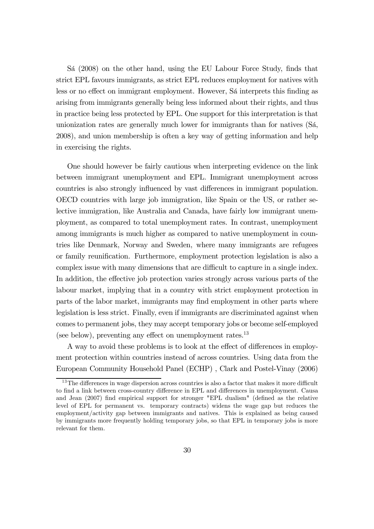Sá (2008) on the other hand, using the EU Labour Force Study, finds that strict EPL favours immigrants, as strict EPL reduces employment for natives with less or no effect on immigrant employment. However, Sá interprets this finding as arising from immigrants generally being less informed about their rights, and thus in practice being less protected by EPL. One support for this interpretation is that unionization rates are generally much lower for immigrants than for natives (Sá, 2008), and union membership is often a key way of getting information and help in exercising the rights.

One should however be fairly cautious when interpreting evidence on the link between immigrant unemployment and EPL. Immigrant unemployment across countries is also strongly influenced by vast differences in immigrant population. OECD countries with large job immigration, like Spain or the US, or rather selective immigration, like Australia and Canada, have fairly low immigrant unemployment, as compared to total unemployment rates. In contrast, unemployment among immigrants is much higher as compared to native unemployment in countries like Denmark, Norway and Sweden, where many immigrants are refugees or family reunification. Furthermore, employment protection legislation is also a complex issue with many dimensions that are difficult to capture in a single index. In addition, the effective job protection varies strongly across various parts of the labour market, implying that in a country with strict employment protection in parts of the labor market, immigrants may find employment in other parts where legislation is less strict. Finally, even if immigrants are discriminated against when comes to permanent jobs, they may accept temporary jobs or become self-employed (see below), preventing any effect on unemployment rates.<sup>13</sup>

A way to avoid these problems is to look at the effect of differences in employment protection within countries instead of across countries. Using data from the European Community Household Panel (ECHP) , Clark and Postel-Vinay (2006)

<sup>&</sup>lt;sup>13</sup>The differences in wage dispersion across countries is also a factor that makes it more difficult to find a link between cross-country difference in EPL and differences in unemployment. Causa and Jean (2007) find empirical support for stronger "EPL dualism" (defined as the relative level of EPL for permanent vs. temporary contracts) widens the wage gap but reduces the employment/activity gap between immigrants and natives. This is explained as being caused by immigrants more frequently holding temporary jobs, so that EPL in temporary jobs is more relevant for them.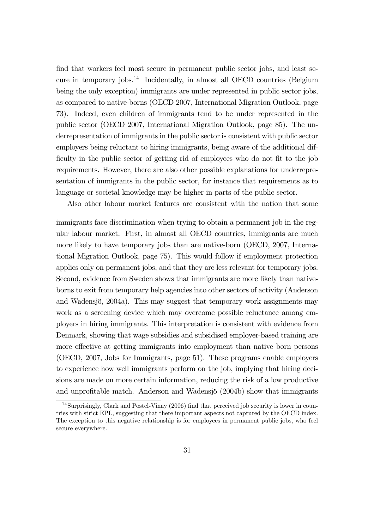find that workers feel most secure in permanent public sector jobs, and least secure in temporary jobs. $^{14}$  Incidentally, in almost all OECD countries (Belgium being the only exception) immigrants are under represented in public sector jobs, as compared to native-borns (OECD 2007, International Migration Outlook, page 73). Indeed, even children of immigrants tend to be under represented in the public sector (OECD 2007, International Migration Outlook, page 85). The underrepresentation of immigrants in the public sector is consistent with public sector employers being reluctant to hiring immigrants, being aware of the additional difficulty in the public sector of getting rid of employees who do not fit to the job requirements. However, there are also other possible explanations for underrepresentation of immigrants in the public sector, for instance that requirements as to language or societal knowledge may be higher in parts of the public sector.

Also other labour market features are consistent with the notion that some

immigrants face discrimination when trying to obtain a permanent job in the regular labour market. First, in almost all OECD countries, immigrants are much more likely to have temporary jobs than are native-born (OECD, 2007, International Migration Outlook, page 75). This would follow if employment protection applies only on permanent jobs, and that they are less relevant for temporary jobs. Second, evidence from Sweden shows that immigrants are more likely than nativeborns to exit from temporary help agencies into other sectors of activity (Anderson and Wadensjö, 2004a). This may suggest that temporary work assignments may work as a screening device which may overcome possible reluctance among employers in hiring immigrants. This interpretation is consistent with evidence from Denmark, showing that wage subsidies and subsidised employer-based training are more effective at getting immigrants into employment than native born persons (OECD, 2007, Jobs for Immigrants, page 51). These programs enable employers to experience how well immigrants perform on the job, implying that hiring decisions are made on more certain information, reducing the risk of a low productive and unprofitable match. Anderson and Wadensjö (2004b) show that immigrants

<sup>14</sup>Surprisingly, Clark and Postel-Vinay (2006) find that perceived job security is lower in countries with strict EPL, suggesting that there important aspects not captured by the OECD index. The exception to this negative relationship is for employees in permanent public jobs, who feel secure everywhere.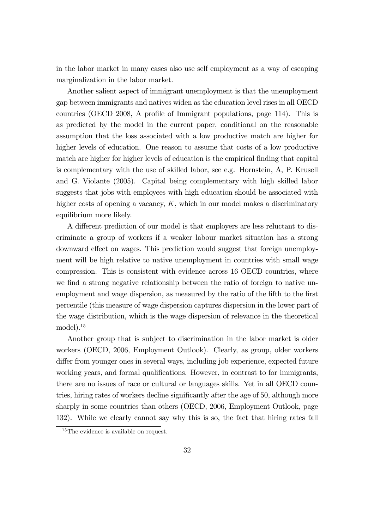in the labor market in many cases also use self employment as a way of escaping marginalization in the labor market.

Another salient aspect of immigrant unemployment is that the unemployment gap between immigrants and natives widen as the education level rises in all OECD countries (OECD 2008, A profile of Immigrant populations, page 114). This is as predicted by the model in the current paper, conditional on the reasonable assumption that the loss associated with a low productive match are higher for higher levels of education. One reason to assume that costs of a low productive match are higher for higher levels of education is the empirical finding that capital is complementary with the use of skilled labor, see e.g. Hornstein, A, P. Krusell and G. Violante (2005). Capital being complementary with high skilled labor suggests that jobs with employees with high education should be associated with higher costs of opening a vacancy,  $K$ , which in our model makes a discriminatory equilibrium more likely.

A different prediction of our model is that employers are less reluctant to discriminate a group of workers if a weaker labour market situation has a strong downward effect on wages. This prediction would suggest that foreign unemployment will be high relative to native unemployment in countries with small wage compression. This is consistent with evidence across 16 OECD countries, where we find a strong negative relationship between the ratio of foreign to native unemployment and wage dispersion, as measured by the ratio of the fifth to the first percentile (this measure of wage dispersion captures dispersion in the lower part of the wage distribution, which is the wage dispersion of relevance in the theoretical model).15

Another group that is subject to discrimination in the labor market is older workers (OECD, 2006, Employment Outlook). Clearly, as group, older workers differ from younger ones in several ways, including job experience, expected future working years, and formal qualifications. However, in contrast to for immigrants, there are no issues of race or cultural or languages skills. Yet in all OECD countries, hiring rates of workers decline significantly after the age of 50, although more sharply in some countries than others (OECD, 2006, Employment Outlook, page 132). While we clearly cannot say why this is so, the fact that hiring rates fall

<sup>&</sup>lt;sup>15</sup>The evidence is available on request.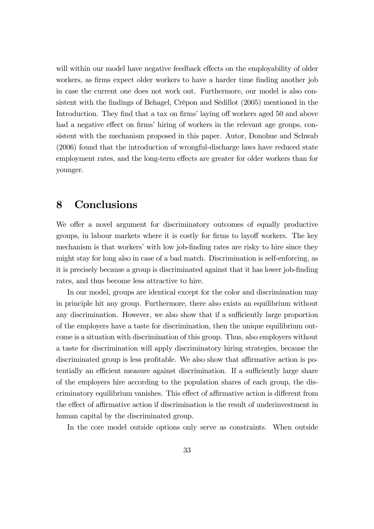will within our model have negative feedback effects on the employability of older workers, as firms expect older workers to have a harder time finding another job in case the current one does not work out. Furthermore, our model is also consistent with the findings of Behagel, Crépon and Sédillot (2005) mentioned in the Introduction. They find that a tax on firms' laying off workers aged 50 and above had a negative effect on firms' hiring of workers in the relevant age groups, consistent with the mechanism proposed in this paper. Autor, Donohue and Schwab (2006) found that the introduction of wrongful-discharge laws have reduced state employment rates, and the long-term effects are greater for older workers than for younger.

## 8 Conclusions

We offer a novel argument for discriminatory outcomes of equally productive groups, in labour markets where it is costly for firms to layoff workers. The key mechanism is that workers' with low job-finding rates are risky to hire since they might stay for long also in case of a bad match. Discrimination is self-enforcing, as it is precisely because a group is discriminated against that it has lower job-finding rates, and thus become less attractive to hire.

In our model, groups are identical except for the color and discrimination may in principle hit any group. Furthermore, there also exists an equilibrium without any discrimination. However, we also show that if a sufficiently large proportion of the employers have a taste for discrimination, then the unique equilibrium outcome is a situation with discrimination of this group. Thus, also employers without a taste for discrimination will apply discriminatory hiring strategies, because the discriminated group is less profitable. We also show that affirmative action is potentially an efficient measure against discrimination. If a sufficiently large share of the employers hire according to the population shares of each group, the discriminatory equilibrium vanishes. This effect of affirmative action is different from the effect of affirmative action if discrimination is the result of underinvestment in human capital by the discriminated group.

In the core model outside options only serve as constraints. When outside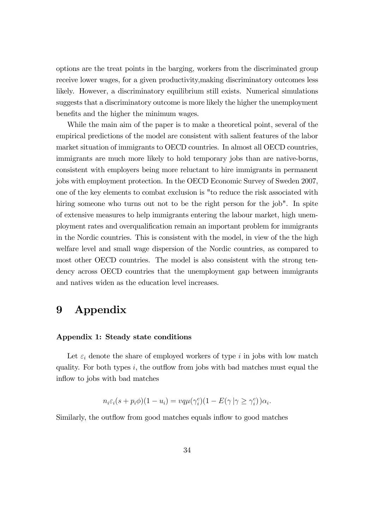options are the treat points in the barging, workers from the discriminated group receive lower wages, for a given productivity,making discriminatory outcomes less likely. However, a discriminatory equilibrium still exists. Numerical simulations suggests that a discriminatory outcome is more likely the higher the unemployment benefits and the higher the minimum wages.

While the main aim of the paper is to make a theoretical point, several of the empirical predictions of the model are consistent with salient features of the labor market situation of immigrants to OECD countries. In almost all OECD countries, immigrants are much more likely to hold temporary jobs than are native-borns, consistent with employers being more reluctant to hire immigrants in permanent jobs with employment protection. In the OECD Economic Survey of Sweden 2007, one of the key elements to combat exclusion is "to reduce the risk associated with hiring someone who turns out not to be the right person for the job". In spite of extensive measures to help immigrants entering the labour market, high unemployment rates and overqualification remain an important problem for immigrants in the Nordic countries. This is consistent with the model, in view of the the high welfare level and small wage dispersion of the Nordic countries, as compared to most other OECD countries. The model is also consistent with the strong tendency across OECD countries that the unemployment gap between immigrants and natives widen as the education level increases.

# 9 Appendix

#### Appendix 1: Steady state conditions

Let  $\varepsilon_i$  denote the share of employed workers of type i in jobs with low match quality. For both types  $i$ , the outflow from jobs with bad matches must equal the inflow to jobs with bad matches

$$
n_i \varepsilon_i (s + p_i \phi)(1 - u_i) = v q \mu(\gamma_i^c)(1 - E(\gamma | \gamma \ge \gamma_i^c)) \alpha_i.
$$

Similarly, the outflow from good matches equals inflow to good matches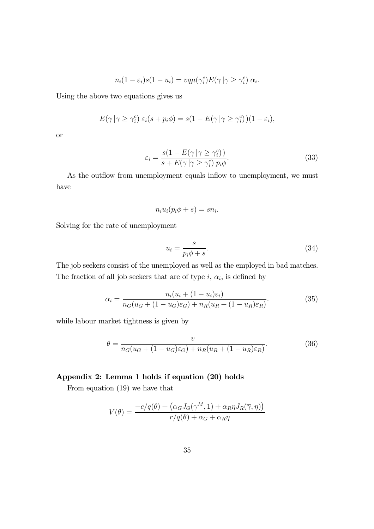$$
n_i(1 - \varepsilon_i)s(1 - u_i) = vq\mu(\gamma_i^c)E(\gamma | \gamma \ge \gamma_i^c) \alpha_i.
$$

Using the above two equations gives us

$$
E(\gamma | \gamma \geq \gamma_i^c) \varepsilon_i(s + p_i \phi) = s(1 - E(\gamma | \gamma \geq \gamma_i^c))(1 - \varepsilon_i),
$$

or

$$
\varepsilon_i = \frac{s(1 - E(\gamma \mid \gamma \ge \gamma_i^c))}{s + E(\gamma \mid \gamma \ge \gamma_i^c) p_i \phi}.
$$
\n(33)

As the outflow from unemployment equals inflow to unemployment, we must have

$$
n_i u_i (p_i \phi + s) = s n_i.
$$

Solving for the rate of unemployment

$$
u_i = \frac{s}{p_i \phi + s}.\tag{34}
$$

The job seekers consist of the unemployed as well as the employed in bad matches. The fraction of all job seekers that are of type  $i, \alpha_i$ , is defined by

$$
\alpha_i = \frac{n_i(u_i + (1 - u_i)\varepsilon_i)}{n_G(u_G + (1 - u_G)\varepsilon_G) + n_R(u_R + (1 - u_R)\varepsilon_R)}.
$$
(35)

while labour market tightness is given by

$$
\theta = \frac{v}{n_G(u_G + (1 - u_G)\varepsilon_G) + n_R(u_R + (1 - u_R)\varepsilon_R)}.\tag{36}
$$

#### Appendix 2: Lemma 1 holds if equation (20) holds

From equation (19) we have that

$$
V(\theta) = \frac{-c/q(\theta) + (\alpha_G J_G(\gamma^M, 1) + \alpha_R \eta J_R(\overline{\gamma}, \eta))}{r/q(\theta) + \alpha_G + \alpha_R \eta}
$$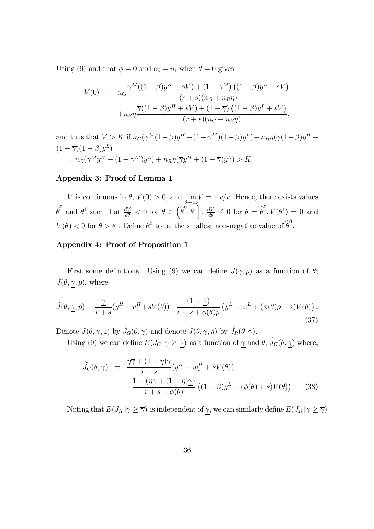Using (9) and that  $\phi = 0$  and  $\alpha_i = n_i$  when  $\theta = 0$  gives

$$
V(0) = n_G \frac{\gamma^M ((1 - \beta)y^H + sV) + (1 - \gamma^M) ((1 - \beta)y^L + sV)}{(r + s)(n_G + n_R \eta)} + n_R \frac{\overline{\gamma}((1 - \beta)y^H + sV) + (1 - \overline{\gamma}) ((1 - \beta)y^L + sV)}{(r + s)(n_G + n_R \eta)},
$$

and thus that  $V > K$  if  $n_G(\gamma^M(1-\beta)y^H + (1-\gamma^M)(1-\beta)y^L) + n_R\eta(\overline{\gamma}(1-\beta)y^H +$  $(1 - \overline{\gamma})(1 - \beta)y^L$  $= n_G(\gamma^M y^H + (1 - \gamma^M) y^L) + n_R \eta(\overline{\gamma} y^H + (1 - \overline{\gamma}) y^L) > K.$ 

#### Appendix 3: Proof of Lemma 1

V is continuous in  $\theta$ ,  $V(0) > 0$ , and  $\lim_{\theta \to \infty} V = -c/r$ . Hence, there exists values  $\widehat{\theta}^0$  and  $\theta^1$  such that  $\frac{dV}{d\theta} < 0$  for  $\theta \in (\widehat{\theta}^0, \theta^1], \frac{dV}{d\theta} \leq 0$  for  $\theta = \widehat{\theta}^0, V(\theta^1) = 0$  and  $V(\theta) < 0$  for  $\theta > \theta^1$ . Define  $\theta^0$  to be the smallest non-negative value of  $\widehat{\theta}^0$ .

#### Appendix 4: Proof of Proposition 1

First some definitions. Using (9) we can define  $J(\gamma, p)$  as a function of  $\theta$ ;  $\hat{J}(\theta, \underline{\gamma}, p)$ , where

$$
\hat{J}(\theta, \underline{\gamma}, p) = \frac{\gamma}{r+s} (y^H - w_i^H + sV(\theta)) + \frac{(1-\gamma)}{r+s+\phi(\theta)p} (y^L - w^L + (\phi(\theta)p + s)V(\theta)).
$$
\n(37)

Denote  $\hat{J}(\theta, \gamma, 1)$  by  $\hat{J}_G(\theta, \gamma)$  and denote  $\hat{J}(\theta, \gamma, \eta)$  by  $\hat{J}_R(\theta, \gamma)$ .

Using (9) we can define  $E(J_G | \gamma \ge \gamma)$  as a function of  $\gamma$  and  $\theta$ ;  $\widetilde{J}_G(\theta, \gamma)$  where,

$$
\widetilde{J}_G(\theta, \underline{\gamma}) = \frac{\eta \overline{\gamma} + (1 - \eta) \underline{\gamma}}{r + s} (y^H - w_i^H + sV(\theta)) \n+ \frac{1 - (\eta \overline{\gamma} + (1 - \eta) \underline{\gamma})}{r + s + \phi(\theta)} ((1 - \beta)y^L + (\phi(\theta) + s)V(\theta))
$$
\n(38)

Noting that  $E(J_R | \gamma \geq \overline{\gamma})$  is independent of  $\gamma$ , we can similarly define  $E(J_R | \gamma \geq \overline{\gamma})$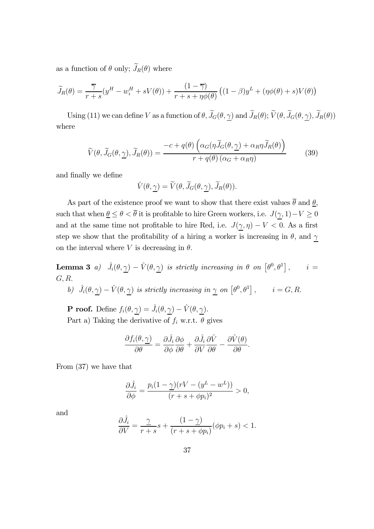as a function of  $\theta$  only;  $J_R(\theta)$  where

$$
\widetilde{J}_R(\theta) = \frac{\overline{\gamma}}{r+s}(y^H - w_i^H + sV(\theta)) + \frac{(1-\overline{\gamma})}{r+s+\eta\phi(\theta)}((1-\beta)y^L + (\eta\phi(\theta) + s)V(\theta))
$$

Using (11) we can define V as a function of  $\theta$ ,  $J_G(\theta, \gamma)$  and  $J_R(\theta)$ ;  $V(\theta, J_G(\theta, \gamma), J_R(\theta))$ where

$$
\widetilde{V}(\theta, \widetilde{J}_G(\theta, \underline{\gamma}), \widetilde{J}_R(\theta)) = \frac{-c + q(\theta) \left( \alpha_G(\eta \widetilde{J}_G(\theta, \underline{\gamma}) + \alpha_R \eta \widetilde{J}_R(\theta)) \right)}{r + q(\theta) \left( \alpha_G + \alpha_R \eta \right)}
$$
(39)

and finally we define

$$
\hat{V}(\theta, \underline{\gamma}) = \widetilde{V}(\theta, \widetilde{J}_G(\theta, \underline{\gamma}), \widetilde{J}_R(\theta)).
$$

As part of the existence proof we want to show that there exist values  $\overline{\theta}$  and  $\underline{\theta}$ , such that when  $\underline{\theta} \leq \theta < \overline{\theta}$  it is profitable to hire Green workers, i.e.  $J(\underline{\gamma}, 1) - V \geq 0$ and at the same time not profitable to hire Red, i.e.  $J(\underline{\gamma}, \eta) - V < 0$ . As a first step we show that the profitability of a hiring a worker is increasing in  $\theta$ , and  $\gamma$ on the interval where V is decreasing in  $\theta$ .

**Lemma 3** a)  $\hat{J}_i(\theta, \underline{\gamma}) - \hat{V}(\theta, \underline{\gamma})$  is strictly increasing in  $\theta$  on  $[\theta^0, \theta^1]$ ,  $i =$  $G, R$ .

b) 
$$
\hat{J}_i(\theta, \underline{\gamma}) - \hat{V}(\theta, \underline{\gamma})
$$
 is strictly increasing in  $\underline{\gamma}$  on  $[\theta^0, \theta^1]$ ,  $i = G, R$ .

**P** roof. Define  $f_i(\theta, \underline{\gamma}) = \hat{J}_i(\theta, \underline{\gamma}) - \hat{V}(\theta, \underline{\gamma}).$ Part a) Taking the derivative of  $f_i$  w.r.t.  $\theta$  gives

$$
\frac{\partial f_i(\theta, \underline{\gamma})}{\partial \theta} = \frac{\partial \hat{J}_i}{\partial \phi} \frac{\partial \phi}{\partial \theta} + \frac{\partial \hat{J}_i}{\partial V} \frac{\partial \hat{V}}{\partial \theta} - \frac{\partial \hat{V}(\theta)}{\partial \theta}.
$$

From (37) we have that

$$
\frac{\partial \hat{J}_i}{\partial \phi} = \frac{p_i(1-\underline{\gamma})(rV - (y^L - w^L))}{(r + s + \phi p_i)^2} > 0,
$$

and

$$
\frac{\partial \hat{J}_i}{\partial V} = \frac{\gamma}{r+s} s + \frac{(1-\gamma)}{(r+s+\phi p_i)} (\phi p_i + s) < 1.
$$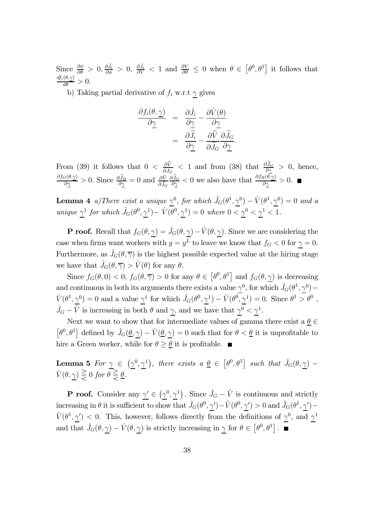Since  $\frac{\partial \phi}{\partial \theta} > 0$ ,  $\frac{\partial \hat{J}_i}{\partial \phi} > 0$ ,  $\frac{\partial \hat{J}_i}{\partial V} < 1$  and  $\frac{\partial V}{\partial \theta} \leq 0$  when  $\theta \in [\theta^0, \theta^1]$  it follows that  $\frac{df_i(\theta,\gamma)}{d\theta}>0.$ 

b) Taking partial derivative of  $f_i$  w.r.t  $\gamma$  gives

$$
\frac{\partial f_i(\theta, \underline{\gamma})}{\partial \underline{\gamma}} = \frac{\partial \hat{J}_i}{\partial \underline{\gamma}} - \frac{\partial \hat{V}(\theta)}{\partial \underline{\gamma}} \n= \frac{\partial \widetilde{J}_i}{\partial \underline{\gamma}} - \frac{\partial \widetilde{V}}{\partial \widetilde{J}_G} \frac{\partial \widetilde{J}_G}{\partial \underline{\gamma}}.
$$

From (39) it follows that  $0 < \frac{\partial V}{\partial \tilde{J}_G} < 1$  and from (38) that  $\frac{\partial J_G}{\partial \gamma} > 0$ , hence,  $\frac{\partial f_G(\theta, \gamma)}{\partial \gamma} > 0$ . Since  $\frac{\partial \widetilde{J}_R}{\partial \gamma} = 0$  and  $\frac{\partial \widetilde{V}}{\partial \widetilde{J}_G} \frac{\partial}{\partial \widetilde{J}_R}$  $\frac{\partial \widetilde{J}_G}{\partial \gamma} < 0$  we also have that  $\frac{\partial f_R(\theta, \gamma)}{\partial \gamma} > 0$ .

**Lemma 4** a)There exist a unique  $\gamma^0$ , for which  $\hat{J}_G(\theta^1, \gamma^0) - \hat{V}(\theta^1, \gamma^0) = 0$  and a unique  $\underline{\gamma}^1$  for which  $\hat{J}_G(\theta^0, \underline{\gamma}^1) - \hat{V}(\theta^0, \underline{\gamma}^1) = 0$  where  $0 < \underline{\gamma}^0 < \underline{\gamma}^1 < 1$ .

**P** roof. Recall that  $f_G(\theta, \gamma) = \hat{J}_G(\theta, \gamma) - \hat{V}(\theta, \gamma)$ . Since we are considering the case when firms want workers with  $y = y^L$  to leave we know that  $f_G < 0$  for  $\gamma = 0$ . Furthermore, as  $\hat{J}_G(\theta, \overline{\gamma})$  is the highest possible expected value at the hiring stage we have that  $\hat{J}_G(\theta, \overline{\gamma}) > \hat{V}(\theta)$  for any  $\theta$ .

Since  $f_G(\theta,0) < 0$ ,  $f_G(\theta,\overline{\gamma}) > 0$  for any  $\theta \in [\theta^0, \theta^1]$  and  $f_G(\theta,\underline{\gamma})$  is decreasing and continuous in both its arguments there exists a value  $\underline{\gamma}^0$ , for which  $\hat{J}_G(\theta^1, \underline{\gamma}^0)$  –  $\hat{V}(\theta^1, \underline{\gamma}^0) = 0$  and a value  $\underline{\gamma}^1$  for which  $\hat{J}_G(\theta^0, \underline{\gamma}^1) - \hat{V}(\theta^0, \underline{\gamma}^1) = 0$ . Since  $\theta^1 > \theta^0$ ,  $\hat{J}_G - \hat{V}$  is increasing in both  $\theta$  and  $\underline{\gamma}$ , and we have that  $\underline{\gamma}^0 < \underline{\gamma}^1$ .

Next we want to show that for intermediate values of gamma there exist a  $\theta \in$  $[\theta^0, \theta^1]$  defined by  $\hat{J}_G(\underline{\theta}, \underline{\gamma}) - \hat{V}(\underline{\theta}, \underline{\gamma}) = 0$  such that for  $\theta < \underline{\theta}$  it is unprofitable to hire a Green worker, while for  $\theta \geq \theta$  it is profitable.

**Lemma 5** For  $\underline{\gamma} \in (\underline{\gamma}^0, \underline{\gamma}^1)$ , there exists  $a \underline{\theta} \in [\theta^0, \theta^1]$  such that  $\hat{J}_G(\theta, \underline{\gamma})$  –  $\hat{V}(\theta, \gamma) \geq 0$  for  $\theta \geq \theta$ .

**P** roof. Consider any  $\underline{\gamma'} \in (\underline{\gamma}^0, \underline{\gamma}^1)$ . Since  $\hat{J}_G - \hat{V}$  is continuous and strictly increasing in  $\theta$  it is sufficient to show that  $\hat{J}_G(\theta^0, \underline{\gamma}') - \hat{V}(\theta^0, \underline{\gamma}') > 0$  and  $\hat{J}_G(\theta^1, \underline{\gamma}') \hat{V}(\theta^1, \gamma') < 0$ . This, however, follows directly from the definitions of  $\gamma^0$ , and  $\gamma^1$ and that  $\hat{J}_G(\theta, \underline{\gamma}) - \hat{V}(\theta, \underline{\gamma})$  is strictly increasing in  $\underline{\gamma}$  for  $\theta \in [\theta^0, \theta^1]$ .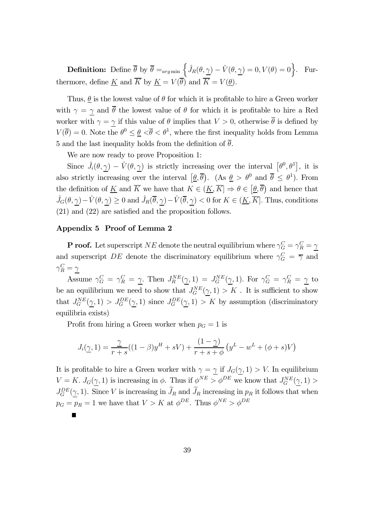**Definition:** Define  $\overline{\theta}$  by  $\overline{\theta} =_{arg min} \left\{ \hat{J}_R(\theta, \underline{\gamma}) - \hat{V}(\theta, \underline{\gamma}) = 0, V(\theta) = 0 \right\}$ . Furthermore, define <u>K</u> and  $\overline{K}$  by  $\underline{K} = V(\overline{\theta})$  and  $\overline{K} = V(\underline{\theta})$ .

Thus,  $\theta$  is the lowest value of  $\theta$  for which it is profitable to hire a Green worker with  $\gamma = \gamma$  and  $\bar{\theta}$  the lowest value of  $\theta$  for which it is profitable to hire a Red worker with  $\gamma = \gamma$  if this value of  $\theta$  implies that  $V > 0$ , otherwise  $\overline{\theta}$  is defined by  $V(\overline{\theta})=0.$  Note the  $\theta^0 \leq \theta \leq \overline{\theta} < \theta^1$ , where the first inequality holds from Lemma 5 and the last inequality holds from the definition of  $\overline{\theta}$ .

We are now ready to prove Proposition 1:

Since  $\hat{J}_i(\theta, \underline{\gamma}) - \hat{V}(\theta, \underline{\gamma})$  is strictly increasing over the interval  $[\theta^0, \theta^1]$ , it is also strictly increasing over the interval  $[\underline{\theta}, \overline{\theta})$ . (As  $\underline{\theta} > \theta^0$  and  $\overline{\theta} \leq \theta^1$ ). From the definition of  $\underline{K}$  and  $\overline{K}$  we have that  $K \in (\underline{K}, \overline{K}] \Rightarrow \theta \in [\underline{\theta}, \overline{\theta})$  and hence that  $\hat{J}_G(\theta, \underline{\gamma}) - \hat{V}(\theta, \underline{\gamma}) \ge 0$  and  $\hat{J}_R(\overline{\theta}, \underline{\gamma}) - \hat{V}(\overline{\theta}, \underline{\gamma}) < 0$  for  $K \in (\underline{K}, \overline{K}]$ . Thus, conditions (21) and (22) are satisfied and the proposition follows.

#### Appendix 5 Proof of Lemma 2

**P** roof. Let superscript NE denote the neutral equilibrium where  $\gamma_G^C = \gamma_R^C = \gamma$ and superscript DE denote the discriminatory equilibrium where  $\gamma_G^C = \overline{\gamma}$  and  $\gamma_R^C = \underline{\gamma}$ 

Assume  $\gamma_G^C = \gamma_R^C = \underline{\gamma}$ . Then  $J_R^{NE}(\underline{\gamma}, 1) = J_G^{NE}(\underline{\gamma}, 1)$ . For  $\gamma_G^C = \gamma_R^C = \underline{\gamma}$  to be an equilibrium we need to show that  $J_G^{NE}(\underline{\gamma},1) > K$ . It is sufficient to show that  $J_G^{NE}(\gamma, 1) > J_G^{DE}(\gamma, 1)$  since  $J_G^{DE}(\gamma, 1) > K$  by assumption (discriminatory equilibria exists)

Profit from hiring a Green worker when  $p<sub>G</sub> = 1$  is

$$
J_i(\underline{\gamma}, 1) = \frac{\underline{\gamma}}{r+s}((1-\beta)y^H + sV) + \frac{(1-\underline{\gamma})}{r+s+\phi}(y^L - w^L + (\phi + s)V)
$$

It is profitable to hire a Green worker with  $\gamma = \gamma$  if  $J_G(\gamma, 1) > V$ . In equilibrium  $V = K$ .  $J_G(\underline{\gamma}, 1)$  is increasing in  $\phi$ . Thus if  $\phi^{NE} > \phi^{DE}$  we know that  $J_G^{NE}(\underline{\gamma}, 1) >$  $J_G^{DE}(\underline{\gamma}, 1)$ . Since V is increasing in  $J_R$  and  $J_R$  increasing in  $p_R$  it follows that when  $p_G = p_R = 1$  we have that  $V > K$  at  $\phi^{DE}$ . Thus  $\phi^{NE} > \phi^{DE}$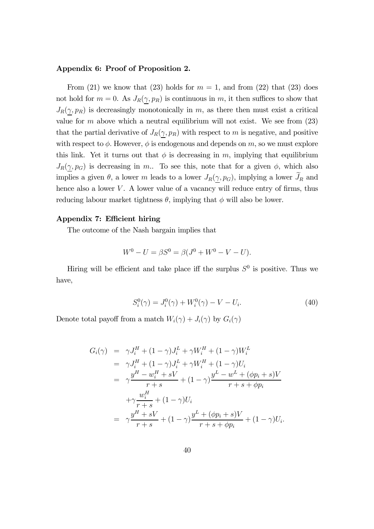#### Appendix 6: Proof of Proposition 2.

From (21) we know that (23) holds for  $m = 1$ , and from (22) that (23) does not hold for  $m = 0$ . As  $J_R(\gamma, p_R)$  is continuous in m, it then suffices to show that  $J_R(\gamma, p_R)$  is decreasingly monotonically in m, as there then must exist a critical value for  $m$  above which a neutral equilibrium will not exist. We see from  $(23)$ that the partial derivative of  $J_R(\gamma, p_R)$  with respect to m is negative, and positive with respect to  $\phi$ . However,  $\phi$  is endogenous and depends on m, so we must explore this link. Yet it turns out that  $\phi$  is decreasing in m, implying that equilibrium  $J_R(\gamma, p_G)$  is decreasing in m.. To see this, note that for a given  $\phi$ , which also implies a given  $\theta$ , a lower m leads to a lower  $J_R(\underline{\gamma}, p_G)$ , implying a lower  $J_R$  and hence also a lower  $V$ . A lower value of a vacancy will reduce entry of firms, thus reducing labour market tightness  $\theta$ , implying that  $\phi$  will also be lower.

#### Appendix 7: Efficient hiring

The outcome of the Nash bargain implies that

$$
W^{0} - U = \beta S^{0} = \beta (J^{0} + W^{0} - V - U).
$$

Hiring will be efficient and take place iff the surplus  $S^0$  is positive. Thus we have,

$$
S_i^0(\gamma) = J_i^0(\gamma) + W_i^0(\gamma) - V - U_i.
$$
 (40)

Denote total payoff from a match  $W_i(\gamma) + J_i(\gamma)$  by  $G_i(\gamma)$ 

$$
G_i(\gamma) = \gamma J_i^H + (1 - \gamma)J_i^L + \gamma W_i^H + (1 - \gamma)W_i^L
$$
  
\n
$$
= \gamma J_i^H + (1 - \gamma)J_i^L + \gamma W_i^H + (1 - \gamma)U_i
$$
  
\n
$$
= \gamma \frac{y^H - w_i^H + sV}{r + s} + (1 - \gamma) \frac{y^L - w^L + (\phi p_i + s)V}{r + s + \phi p_i}
$$
  
\n
$$
+ \gamma \frac{w_i^H}{r + s} + (1 - \gamma)U_i
$$
  
\n
$$
= \gamma \frac{y^H + sV}{r + s} + (1 - \gamma) \frac{y^L + (\phi p_i + s)V}{r + s + \phi p_i} + (1 - \gamma)U_i.
$$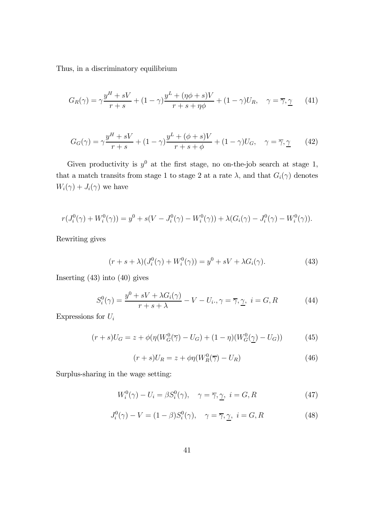Thus, in a discriminatory equilibrium

$$
G_R(\gamma) = \gamma \frac{y^H + sV}{r + s} + (1 - \gamma) \frac{y^L + (\eta \phi + s)V}{r + s + \eta \phi} + (1 - \gamma)U_R, \quad \gamma = \overline{\gamma}, \underline{\gamma} \tag{41}
$$

$$
G_G(\gamma) = \gamma \frac{y^H + sV}{r + s} + (1 - \gamma) \frac{y^L + (\phi + s)V}{r + s + \phi} + (1 - \gamma)U_G, \quad \gamma = \overline{\gamma}, \gamma \tag{42}
$$

Given productivity is  $y^0$  at the first stage, no on-the-job search at stage 1, that a match transits from stage 1 to stage 2 at a rate  $\lambda$ , and that  $G_i(\gamma)$  denotes  $W_i(\gamma) + J_i(\gamma)$  we have

$$
r(J_i^0(\gamma) + W_i^0(\gamma)) = y^0 + s(V - J_i^0(\gamma) - W_i^0(\gamma)) + \lambda(G_i(\gamma) - J_i^0(\gamma) - W_i^0(\gamma)).
$$

Rewriting gives

$$
(r+s+\lambda)(J_i^0(\gamma) + W_i^0(\gamma)) = y^0 + sV + \lambda G_i(\gamma).
$$
 (43)

Inserting (43) into (40) gives

$$
S_i^0(\gamma) = \frac{y^0 + sV + \lambda G_i(\gamma)}{r + s + \lambda} - V - U_i., \gamma = \overline{\gamma}, \gamma, \ i = G, R
$$
 (44)

Expressions for  ${\cal U}_i$ 

$$
(r+s)U_G = z + \phi(\eta(W_G^0(\overline{\gamma}) - U_G) + (1-\eta)(W_G^0(\underline{\gamma}) - U_G))
$$
 (45)

$$
(r+s)U_R = z + \phi \eta (W_R^0(\overline{\gamma}) - U_R)
$$
\n(46)

Surplus-sharing in the wage setting:

$$
W_i^0(\gamma) - U_i = \beta S_i^0(\gamma), \quad \gamma = \overline{\gamma}, \underline{\gamma}, \ i = G, R \tag{47}
$$

$$
J_i^0(\gamma) - V = (1 - \beta)S_i^0(\gamma), \quad \gamma = \overline{\gamma}, \underline{\gamma}, \ i = G, R \tag{48}
$$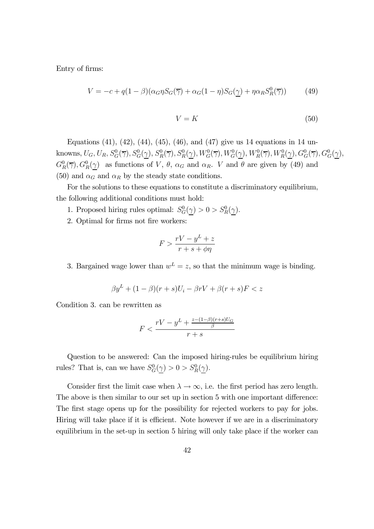Entry of firms:

$$
V = -c + q(1 - \beta)(\alpha_G \eta S_G(\overline{\gamma}) + \alpha_G(1 - \eta)S_G(\underline{\gamma}) + \eta \alpha_R S_R^0(\overline{\gamma}))
$$
(49)

$$
V = K \tag{50}
$$

Equations (41), (42), (44), (45), (46), and (47) give us 14 equations in 14 unknowns,  $U_G, U_R, S_G^0(\overline{\gamma}), S_G^0(\underline{\gamma}), S_R^0(\overline{\gamma}), S_R^0(\underline{\gamma}), W_G^0(\overline{\gamma}), W_G^0(\underline{\gamma}), W_R^0(\overline{\gamma}), W_R^0(\underline{\gamma}), G_G^0(\overline{\gamma}), G_G^0(\underline{\gamma}),$  $G_R^0(\overline{\gamma}), G_R^0(\underline{\gamma})$  as functions of V,  $\theta$ ,  $\alpha_G$  and  $\alpha_R$ . V and  $\theta$  are given by (49) and (50) and  $\alpha_G$  and  $\alpha_R$  by the steady state conditions.

For the solutions to these equations to constitute a discriminatory equilibrium, the following additional conditions must hold:

- 1. Proposed hiring rules optimal:  $S_G^0(\gamma) > 0 > S_R^0(\gamma)$ .
- 2. Optimal for firms not fire workers:

$$
F > \frac{rV - y^L + z}{r + s + \phi\eta}
$$

3. Bargained wage lower than  $w^L = z$ , so that the minimum wage is binding.

$$
\beta y^{L} + (1 - \beta)(r + s)U_i - \beta r V + \beta(r + s)F < z
$$

Condition 3. can be rewritten as

$$
F < \frac{rV - y^L + \frac{z - (1 - \beta)(r + s)U_G}{\beta}}{r + s}
$$

Question to be answered: Can the imposed hiring-rules be equilibrium hiring rules? That is, can we have  $S_G^0(\gamma) > 0 > S_R^0(\gamma)$ .

Consider first the limit case when  $\lambda \to \infty$ , i.e. the first period has zero length. The above is then similar to our set up in section 5 with one important difference: The first stage opens up for the possibility for rejected workers to pay for jobs. Hiring will take place if it is efficient. Note however if we are in a discriminatory equilibrium in the set-up in section 5 hiring will only take place if the worker can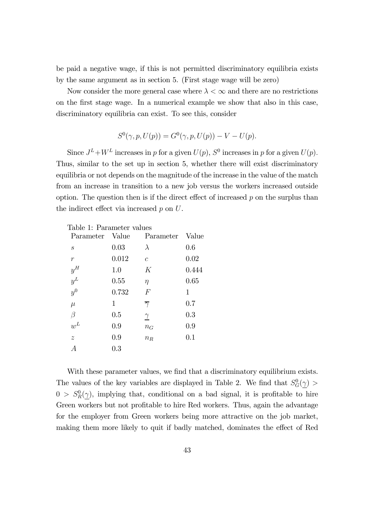be paid a negative wage, if this is not permitted discriminatory equilibria exists by the same argument as in section 5. (First stage wage will be zero)

Now consider the more general case where  $\lambda < \infty$  and there are no restrictions on the first stage wage. In a numerical example we show that also in this case, discriminatory equilibria can exist. To see this, consider

$$
S^{0}(\gamma, p, U(p)) = G^{0}(\gamma, p, U(p)) - V - U(p).
$$

Since  $J^L + W^L$  increases in p for a given  $U(p)$ ,  $S^0$  increases in p for a given  $U(p)$ . Thus, similar to the set up in section 5, whether there will exist discriminatory equilibria or not depends on the magnitude of the increase in the value of the match from an increase in transition to a new job versus the workers increased outside option. The question then is if the direct effect of increased  $p$  on the surplus than the indirect effect via increased  $p$  on  $U$ .

| Value | Parameter           | Value |
|-------|---------------------|-------|
| 0.03  | $\lambda$           | 0.6   |
| 0.012 | $\overline{c}$      | 0.02  |
| 1.0   | K                   | 0.444 |
| 0.55  | $\eta$              | 0.65  |
| 0.732 | $\,F$               | 1     |
| 1     | $\overline{\gamma}$ | 0.7   |
| 0.5   | $\gamma$            | 0.3   |
| 0.9   | $n_G$               | 0.9   |
| 0.9   | $n_R$               | 0.1   |
| 0.3   |                     |       |
|       |                     |       |

Table 1: Parameter values

With these parameter values, we find that a discriminatory equilibrium exists. The values of the key variables are displayed in Table 2. We find that  $S_G^0(\gamma)$  $0 > S_R^0(\gamma)$ , implying that, conditional on a bad signal, it is profitable to hire Green workers but not profitable to hire Red workers. Thus, again the advantage for the employer from Green workers being more attractive on the job market, making them more likely to quit if badly matched, dominates the effect of Red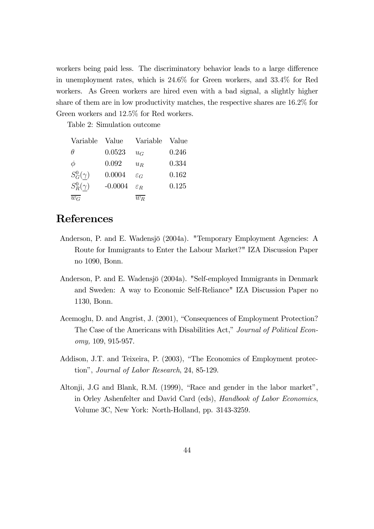workers being paid less. The discriminatory behavior leads to a large difference in unemployment rates, which is 24.6% for Green workers, and 33.4% for Red workers. As Green workers are hired even with a bad signal, a slightly higher share of them are in low productivity matches, the respective shares are 16.2% for Green workers and 12.5% for Red workers.

Table 2: Simulation outcome

| Variable                    | Value     | Variable         | Value |
|-----------------------------|-----------|------------------|-------|
| $\theta$                    | 0.0523    | $u_G$            | 0.246 |
| φ                           | 0.092     | $u_R$            | 0.334 |
| $S_G^0(\underline{\gamma})$ | 0.0004    | $\varepsilon_G$  | 0.162 |
| $S_R^0(\gamma)$             | $-0.0004$ | $\mathcal{E}_R$  | 0.125 |
| $\overline{w_G}$            |           | $\overline{w_B}$ |       |

# References

- Anderson, P. and E. Wadensjö (2004a). "Temporary Employment Agencies: A Route for Immigrants to Enter the Labour Market?" IZA Discussion Paper no 1090, Bonn.
- Anderson, P. and E. Wadensjö (2004a). "Self-employed Immigrants in Denmark and Sweden: A way to Economic Self-Reliance" IZA Discussion Paper no 1130, Bonn.
- Acemoglu, D. and Angrist, J. (2001), "Consequences of Employment Protection? The Case of the Americans with Disabilities Act," Journal of Political Economy, 109, 915-957.
- Addison, J.T. and Teixeira, P. (2003), "The Economics of Employment protection", Journal of Labor Research, 24, 85-129.
- Altonji, J.G and Blank, R.M. (1999), "Race and gender in the labor market", in Orley Ashenfelter and David Card (eds), Handbook of Labor Economics, Volume 3C, New York: North-Holland, pp. 3143-3259.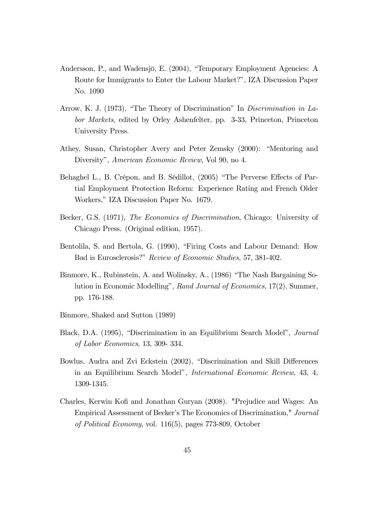- Andersson, P., and Wadensjö, E. (2004), "Temporary Employment Agencies: A Route for Immigrants to Enter the Labour Market?", IZA Discussion Paper No. 1090
- Arrow, K. J. (1973), "The Theory of Discrimination" In Discrimination in Labor Markets, edited by Orley Ashenfelter, pp. 3-33, Princeton, Princeton University Press.
- Athey, Susan, Christopher Avery and Peter Zemsky (2000): "Mentoring and Diversity", American Economic Review, Vol 90, no 4.
- Behaghel L., B. Crépon, and B. Sédillot, (2005) "The Perverse Effects of Partial Employment Protection Reform: Experience Rating and French Older Workers," IZA Discussion Paper No. 1679.
- Becker, G.S. (1971), The Economics of Discrimination, Chicago: University of Chicago Press. (Original edition, 1957).
- Bentolila, S. and Bertola, G. (1990), "Firing Costs and Labour Demand: How Bad is Eurosclerosis?" Review of Economic Studies, 57, 381-402.
- Binmore, K., Rubinstein, A. and Wolinsky, A., (1986) "The Nash Bargaining Solution in Economic Modelling", Rand Journal of Economics, 17(2), Summer, pp. 176-188.
- Binmore, Shaked and Sutton (1989)
- Black, D.A. (1995), "Discrimination in an Equilibrium Search Model", Journal of Labor Economics, 13, 309- 334.
- Bowlus, Audra and Zvi Eckstein (2002), "Discrimination and Skill Differences in an Equilibrium Search Model", International Economic Review, 43, 4, 1309-1345.
- Charles, Kerwin Kofi and Jonathan Guryan (2008). "Prejudice and Wages: An Empirical Assessment of Becker's The Economics of Discrimination," Journal of Political Economy, vol. 116(5), pages 773-809, October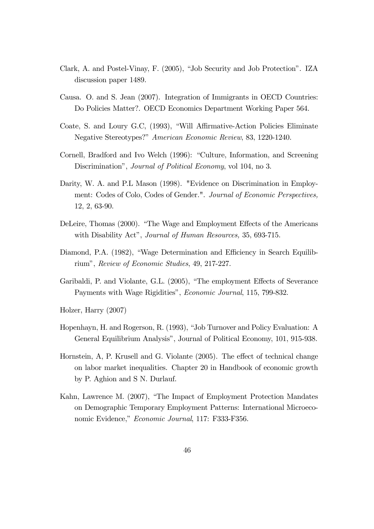- Clark, A. and Postel-Vinay, F. (2005), "Job Security and Job Protection". IZA discussion paper 1489.
- Causa. O. and S. Jean (2007). Integration of Immigrants in OECD Countries: Do Policies Matter?. OECD Economics Department Working Paper 564.
- Coate, S. and Loury G.C, (1993), "Will Affirmative-Action Policies Eliminate Negative Stereotypes?" American Economic Review, 83, 1220-1240.
- Cornell, Bradford and Ivo Welch (1996): "Culture, Information, and Screening Discrimination", *Journal of Political Economy*, vol 104, no 3.
- Darity, W. A. and P.L Mason (1998). "Evidence on Discrimination in Employment: Codes of Colo, Codes of Gender.". Journal of Economic Perspectives, 12, 2, 63-90.
- DeLeire, Thomas (2000). "The Wage and Employment Effects of the Americans with Disability Act", *Journal of Human Resources*, 35, 693-715.
- Diamond, P.A. (1982), "Wage Determination and Efficiency in Search Equilibrium", Review of Economic Studies, 49, 217-227.
- Garibaldi, P. and Violante, G.L. (2005), "The employment Effects of Severance Payments with Wage Rigidities", Economic Journal, 115, 799-832.

Holzer, Harry (2007)

- Hopenhayn, H. and Rogerson, R. (1993), "Job Turnover and Policy Evaluation: A General Equilibrium Analysis", Journal of Political Economy, 101, 915-938.
- Hornstein, A, P. Krusell and G. Violante (2005). The effect of technical change on labor market inequalities. Chapter 20 in Handbook of economic growth by P. Aghion and S N. Durlauf.
- Kahn, Lawrence M. (2007), "The Impact of Employment Protection Mandates on Demographic Temporary Employment Patterns: International Microeconomic Evidence," Economic Journal, 117: F333-F356.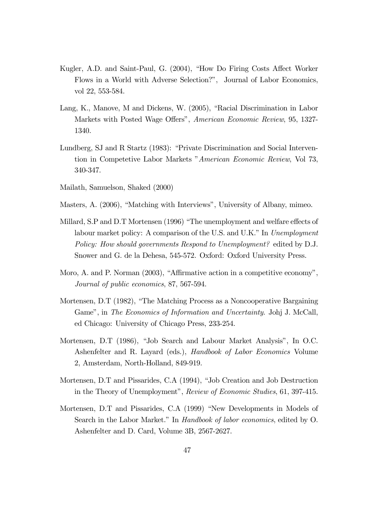- Kugler, A.D. and Saint-Paul, G. (2004), "How Do Firing Costs Affect Worker Flows in a World with Adverse Selection?", Journal of Labor Economics, vol 22, 553-584.
- Lang, K., Manove, M and Dickens, W. (2005), "Racial Discrimination in Labor Markets with Posted Wage Offers", American Economic Review, 95, 1327- 1340.
- Lundberg, SJ and R Startz (1983): "Private Discrimination and Social Intervention in Competetive Labor Markets "American Economic Review, Vol 73, 340-347.
- Mailath, Samuelson, Shaked (2000)
- Masters, A. (2006), "Matching with Interviews", University of Albany, mimeo.
- Millard, S.P and D.T Mortensen (1996) "The unemployment and welfare effects of labour market policy: A comparison of the U.S. and U.K." In Unemployment Policy: How should governments Respond to Unemployment? edited by D.J. Snower and G. de la Dehesa, 545-572. Oxford: Oxford University Press.
- Moro, A. and P. Norman (2003), "Affirmative action in a competitive economy", Journal of public economics, 87, 567-594.
- Mortensen, D.T (1982), "The Matching Process as a Noncooperative Bargaining Game", in The Economics of Information and Uncertainty. Johj J. McCall, ed Chicago: University of Chicago Press, 233-254.
- Mortensen, D.T (1986), "Job Search and Labour Market Analysis", In O.C. Ashenfelter and R. Layard (eds.), *Handbook of Labor Economics* Volume 2, Amsterdam, North-Holland, 849-919.
- Mortensen, D.T and Pissarides, C.A (1994), "Job Creation and Job Destruction in the Theory of Unemployment", Review of Economic Studies, 61, 397-415.
- Mortensen, D.T and Pissarides, C.A (1999) "New Developments in Models of Search in the Labor Market." In Handbook of labor economics, edited by O. Ashenfelter and D. Card, Volume 3B, 2567-2627.